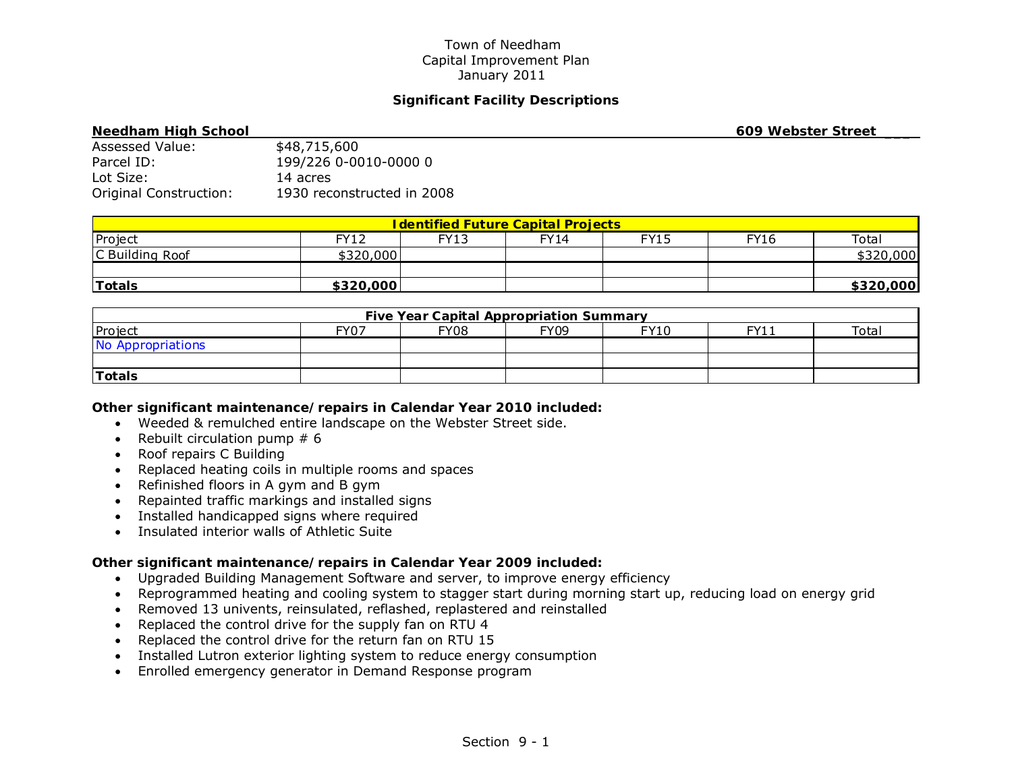# **Significant Facility Descriptions**

| <b>Needham High School</b> |                            | 609 Webster Street |
|----------------------------|----------------------------|--------------------|
| Assessed Value:            | \$48,715,600               |                    |
| Parcel ID:                 | 199/226 0-0010-0000 0      |                    |
| Lot Size:                  | 14 acres                   |                    |
| Original Construction:     | 1930 reconstructed in 2008 |                    |

| <b>I dentified Future Capital Projects</b> |           |      |      |      |             |           |  |
|--------------------------------------------|-----------|------|------|------|-------------|-----------|--|
| Project                                    | FY12      | FY13 | FY14 | FY15 | <b>FY16</b> | Total     |  |
| C Building Roof                            | \$320,000 |      |      |      |             | \$320,000 |  |
|                                            |           |      |      |      |             |           |  |
| <b>Totals</b>                              | \$320,000 |      |      |      |             | \$320,000 |  |

| <b>Five Year Capital Appropriation Summary</b> |      |      |             |             |      |       |  |
|------------------------------------------------|------|------|-------------|-------------|------|-------|--|
| Project                                        | FY07 | FY08 | <b>FY09</b> | <b>FY10</b> | FY11 | Total |  |
| No Appropriations                              |      |      |             |             |      |       |  |
|                                                |      |      |             |             |      |       |  |
| Totals                                         |      |      |             |             |      |       |  |

### *Other significant maintenance/repairs in Calendar Year 2010 included:*

- Weeded & remulched entire landscape on the Webster Street side.
- Rebuilt circulation pump  $# 6$
- Roof repairs C Building
- Replaced heating coils in multiple rooms and spaces
- Refinished floors in A gym and B gym
- Repainted traffic markings and installed signs
- Installed handicapped signs where required
- Insulated interior walls of Athletic Suite

- Upgraded Building Management Software and server, to improve energy efficiency
- Reprogrammed heating and cooling system to stagger start during morning start up, reducing load on energy grid
- Removed 13 univents, reinsulated, reflashed, replastered and reinstalled
- Replaced the control drive for the supply fan on RTU 4
- Replaced the control drive for the return fan on RTU 15
- Installed Lutron exterior lighting system to reduce energy consumption
- Enrolled emergency generator in Demand Response program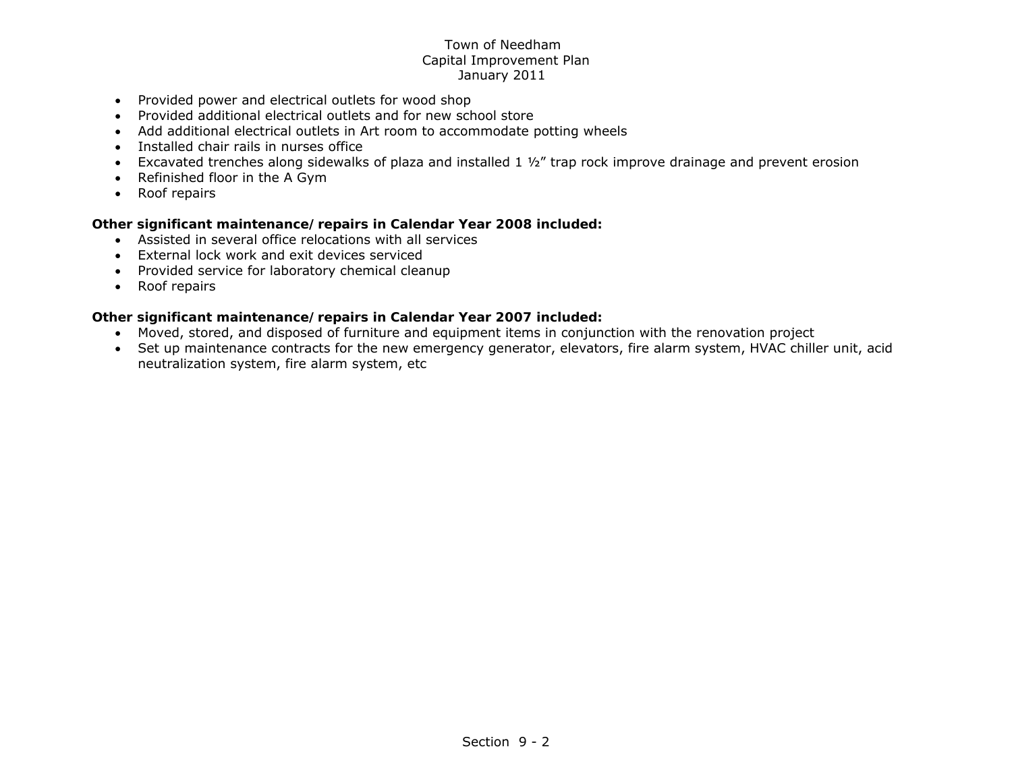- Provided power and electrical outlets for wood shop
- Provided additional electrical outlets and for new school store
- Add additional electrical outlets in Art room to accommodate potting wheels
- Installed chair rails in nurses office
- Excavated trenches along sidewalks of plaza and installed 1 ½" trap rock improve drainage and prevent erosion
- Refinished floor in the A Gym
- Roof repairs

## *Other significant maintenance/repairs in Calendar Year 2008 included:*

- Assisted in several office relocations with all services
- External lock work and exit devices serviced
- Provided service for laboratory chemical cleanup
- Roof repairs

- Moved, stored, and disposed of furniture and equipment items in conjunction with the renovation project
- Set up maintenance contracts for the new emergency generator, elevators, fire alarm system, HVAC chiller unit, acid neutralization system, fire alarm system, etc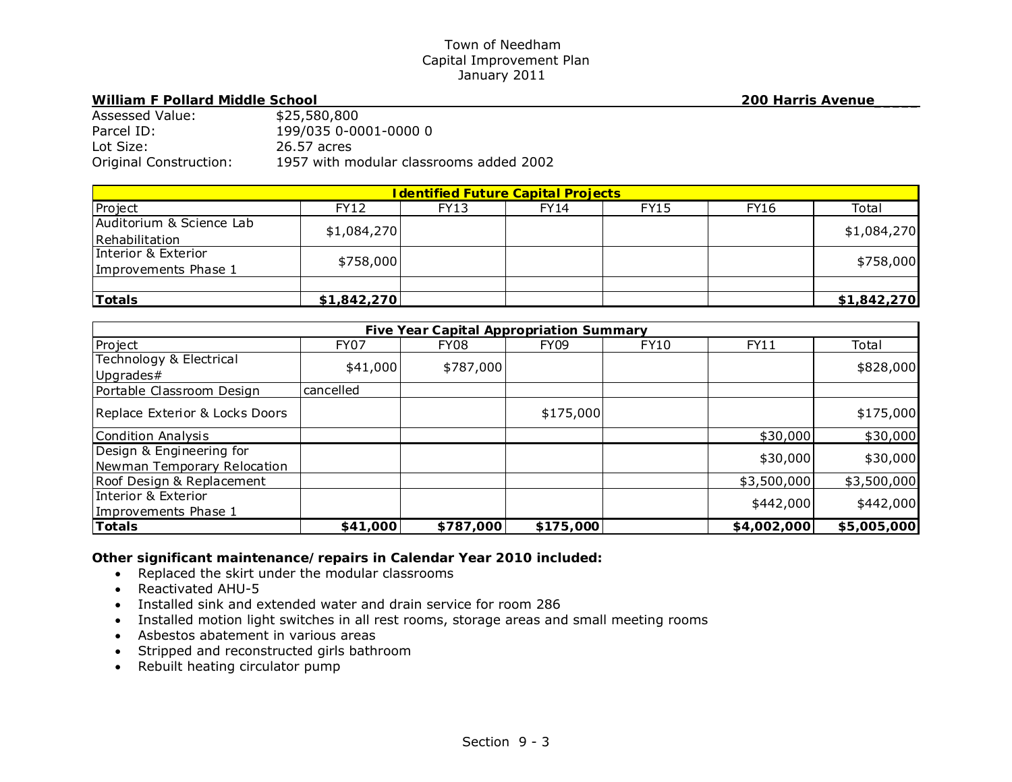## William F Pollard Middle School **200 Harris Avenue**

| Assessed Value:        | \$25,580,800                            |
|------------------------|-----------------------------------------|
| Parcel ID:             | 199/035 0-0001-0000 0                   |
| Lot Size:              | 26.57 acres                             |
| Original Construction: | 1957 with modular classrooms added 2002 |

| <b>I dentified Future Capital Projects</b> |             |             |             |             |             |             |  |
|--------------------------------------------|-------------|-------------|-------------|-------------|-------------|-------------|--|
| Project                                    | <b>FY12</b> | <b>FY13</b> | <b>FY14</b> | <b>FY15</b> | <b>FY16</b> | Total       |  |
| Auditorium & Science Lab                   |             |             |             |             |             |             |  |
| Rehabilitation                             | \$1,084,270 |             |             |             |             | \$1,084,270 |  |
| Interior & Exterior                        | \$758,000   |             |             |             |             | \$758,000   |  |
| Improvements Phase 1                       |             |             |             |             |             |             |  |
|                                            |             |             |             |             |             |             |  |
| <b>Totals</b>                              | \$1,842,270 |             |             |             |             | \$1,842,270 |  |

| <b>Five Year Capital Appropriation Summary</b>          |             |           |             |      |             |             |  |
|---------------------------------------------------------|-------------|-----------|-------------|------|-------------|-------------|--|
| Project                                                 | <b>FY07</b> | FY08      | <b>FY09</b> | FY10 | FY11        | Total       |  |
| Technology & Electrical<br>Upgrades#                    | \$41,000    | \$787,000 |             |      |             | \$828,000   |  |
| Portable Classroom Design                               | cancelled   |           |             |      |             |             |  |
| Replace Exterior & Locks Doors                          |             |           | \$175,000   |      |             | \$175,000   |  |
| Condition Analysis                                      |             |           |             |      | \$30,000    | \$30,000    |  |
| Design & Engineering for<br>Newman Temporary Relocation |             |           |             |      | \$30,000    | \$30,000    |  |
| Roof Design & Replacement                               |             |           |             |      | \$3,500,000 | \$3,500,000 |  |
| Interior & Exterior<br>Improvements Phase 1             |             |           |             |      | \$442,000   | \$442,000   |  |
| <b>Totals</b>                                           | \$41,000    | \$787,000 | \$175,000   |      | \$4,002,000 | \$5,005,000 |  |

- Replaced the skirt under the modular classrooms
- Reactivated AHU-5
- Installed sink and extended water and drain service for room 286
- Installed motion light switches in all rest rooms, storage areas and small meeting rooms
- Asbestos abatement in various areas
- Stripped and reconstructed girls bathroom
- Rebuilt heating circulator pump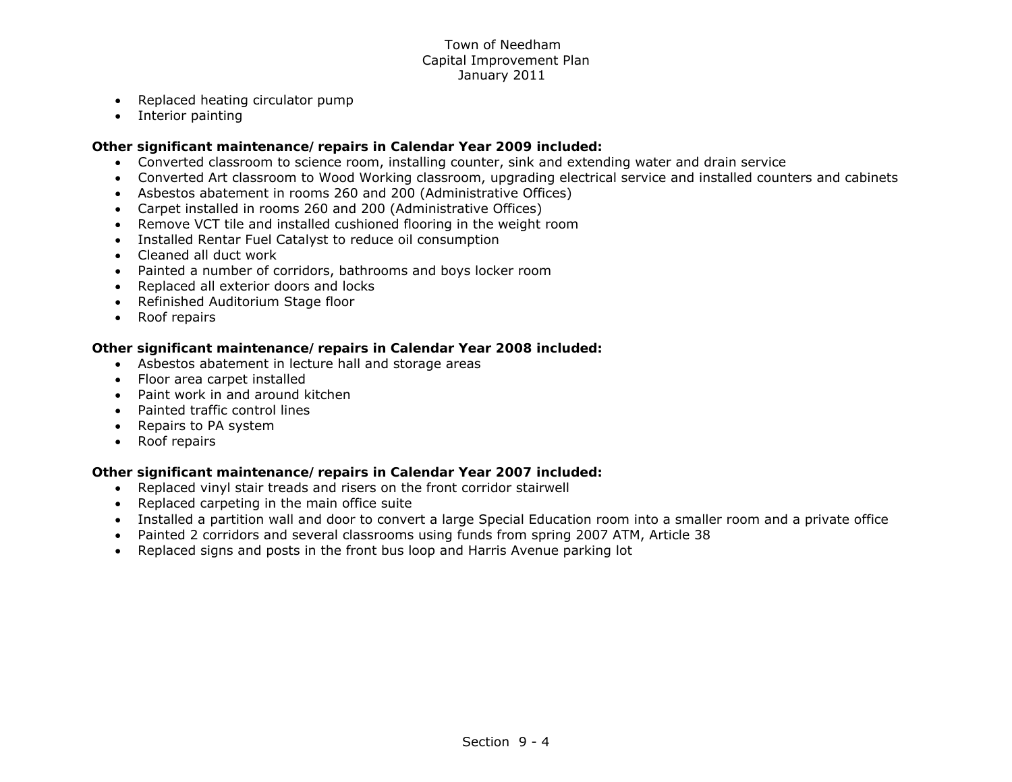- $\bullet$ Replaced heating circulator pump
- $\bullet$ Interior painting

## *Other significant maintenance/repairs in Calendar Year 2009 included:*

- Converted classroom to science room, installing counter, sink and extending water and drain service
- Converted Art classroom to Wood Working classroom, upgrading electrical service and installed counters and cabinets
- Asbestos abatement in rooms 260 and 200 (Administrative Offices)
- Carpet installed in rooms 260 and 200 (Administrative Offices)
- Remove VCT tile and installed cushioned flooring in the weight room
- Installed Rentar Fuel Catalyst to reduce oil consumption
- Cleaned all duct work
- Painted a number of corridors, bathrooms and boys locker room
- Replaced all exterior doors and locks
- Refinished Auditorium Stage floor
- Roof repairs

# *Other significant maintenance/repairs in Calendar Year 2008 included:*

- Asbestos abatement in lecture hall and storage areas
- Floor area carpet installed
- Paint work in and around kitchen
- Painted traffic control lines
- Repairs to PA system
- Roof repairs

- Replaced vinyl stair treads and risers on the front corridor stairwell
- Replaced carpeting in the main office suite
- Installed a partition wall and door to convert a large Special Education room into a smaller room and a private office
- Painted 2 corridors and several classrooms using funds from spring 2007 ATM, Article 38
- Replaced signs and posts in the front bus loop and Harris Avenue parking lot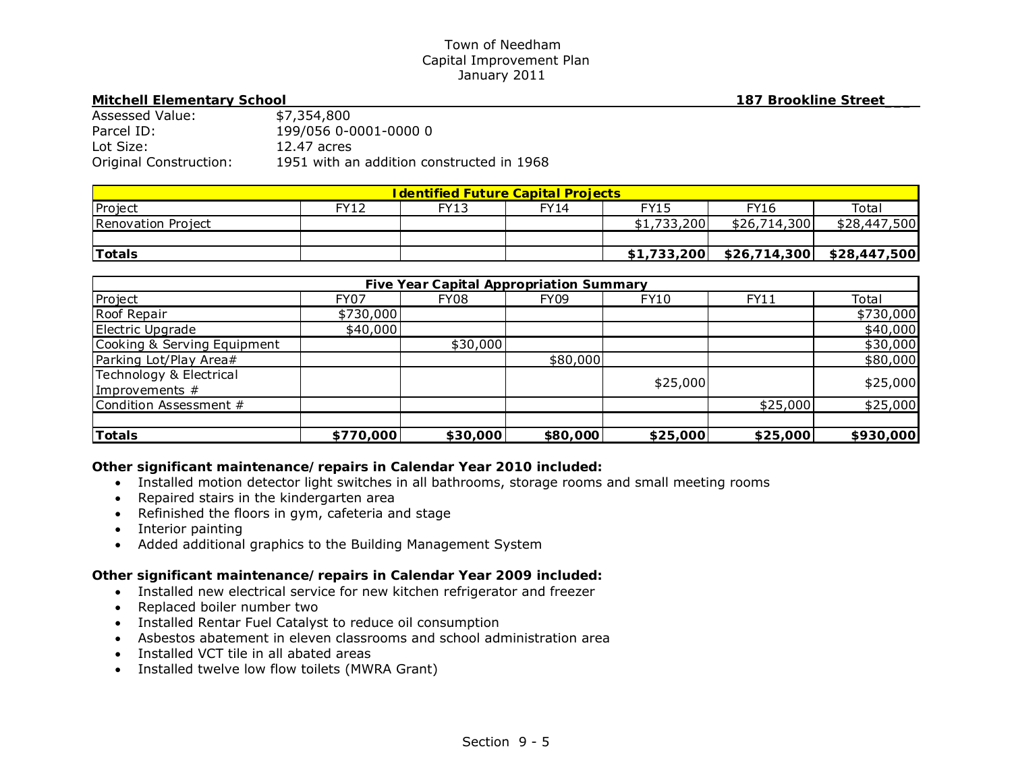#### **Mitchell Elementary School 187 Brookline Street\_\_\_**

| Assessed Value:        | \$7,354,800                               |
|------------------------|-------------------------------------------|
| Parcel ID:             | 199/056 0-0001-0000 0                     |
| Lot Size:              | 12.47 acres                               |
| Original Construction: | 1951 with an addition constructed in 1968 |

| <u>I dentified Future Capital Projects </u> |             |             |      |             |              |              |
|---------------------------------------------|-------------|-------------|------|-------------|--------------|--------------|
| Project                                     | <b>FY12</b> | <b>FY13</b> | FY14 | FY15        | FY16         | Total        |
| Renovation Project                          |             |             |      | \$1,733,200 | \$26,714,300 | \$28,447,500 |
|                                             |             |             |      |             |              |              |
| <b>Totals</b>                               |             |             |      | \$1,733,200 |              |              |

| <b>Five Year Capital Appropriation Summary</b> |             |          |             |             |          |           |  |
|------------------------------------------------|-------------|----------|-------------|-------------|----------|-----------|--|
| Project                                        | <b>FY07</b> | FY08     | <b>FY09</b> | <b>FY10</b> | FY11     | Total     |  |
| Roof Repair                                    | \$730,000   |          |             |             |          | \$730,000 |  |
| Electric Upgrade                               | \$40,000    |          |             |             |          | \$40,000  |  |
| Cooking & Serving Equipment                    |             | \$30,000 |             |             |          | \$30,000  |  |
| Parking Lot/Play Area#                         |             |          | \$80,000    |             |          | \$80,000  |  |
| Technology & Electrical                        |             |          |             | \$25,000    |          | \$25,000  |  |
| Improvements $#$                               |             |          |             |             |          |           |  |
| Condition Assessment #                         |             |          |             |             | \$25,000 | \$25,000  |  |
|                                                |             |          |             |             |          |           |  |
| <b>Totals</b>                                  | \$770,000   | \$30,000 | \$80,000    | \$25,000    | \$25,000 | \$930,000 |  |

# *Other significant maintenance/repairs in Calendar Year 2010 included:*

- Installed motion detector light switches in all bathrooms, storage rooms and small meeting rooms
- Repaired stairs in the kindergarten area
- Refinished the floors in gym, cafeteria and stage
- Interior painting
- Added additional graphics to the Building Management System

- Installed new electrical service for new kitchen refrigerator and freezer
- Replaced boiler number two
- Installed Rentar Fuel Catalyst to reduce oil consumption
- Asbestos abatement in eleven classrooms and school administration area
- Installed VCT tile in all abated areas
- Installed twelve low flow toilets (MWRA Grant)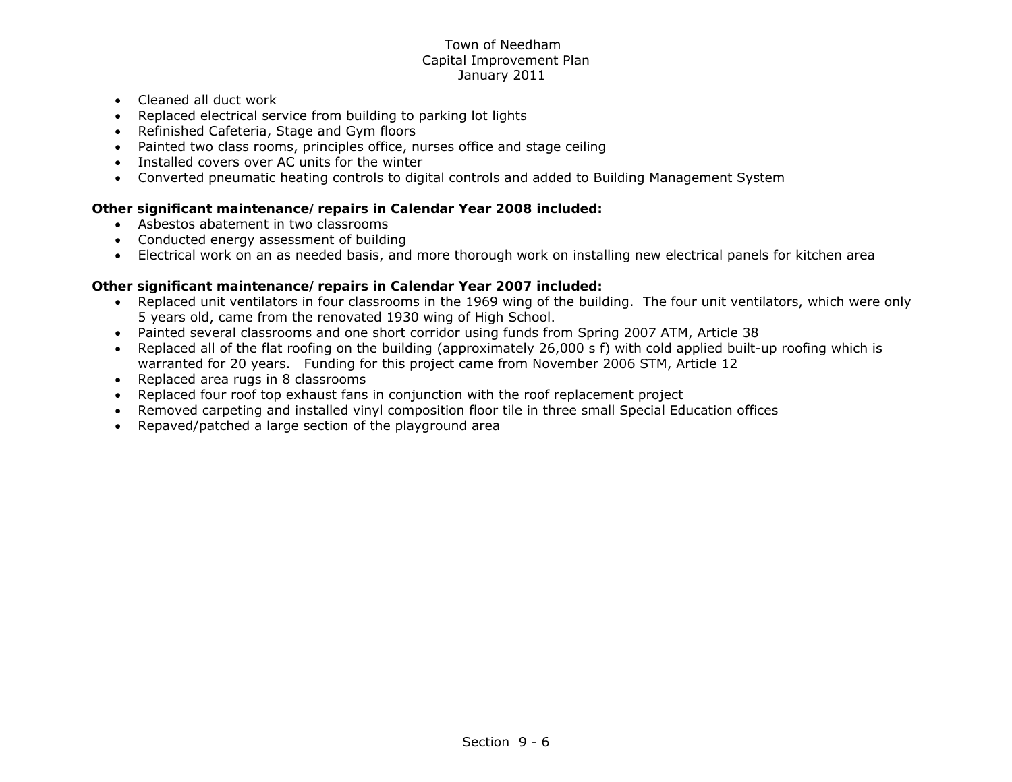- Cleaned all duct work
- Replaced electrical service from building to parking lot lights
- Refinished Cafeteria, Stage and Gym floors
- Painted two class rooms, principles office, nurses office and stage ceiling
- Installed covers over AC units for the winter
- Converted pneumatic heating controls to digital controls and added to Building Management System

# *Other significant maintenance/repairs in Calendar Year 2008 included:*

- Asbestos abatement in two classrooms
- Conducted energy assessment of building
- Electrical work on an as needed basis, and more thorough work on installing new electrical panels for kitchen area

- Replaced unit ventilators in four classrooms in the 1969 wing of the building. The four unit ventilators, which were only 5 years old, came from the renovated 1930 wing of High School.
- Painted several classrooms and one short corridor using funds from Spring 2007 ATM, Article 38
- Replaced all of the flat roofing on the building (approximately 26,000 s f) with cold applied built-up roofing which is warranted for 20 years. Funding for this project came from November 2006 STM, Article 12
- Replaced area rugs in 8 classrooms
- Replaced four roof top exhaust fans in conjunction with the roof replacement project
- Removed carpeting and installed vinyl composition floor tile in three small Special Education offices
- Repaved/patched a large section of the playground area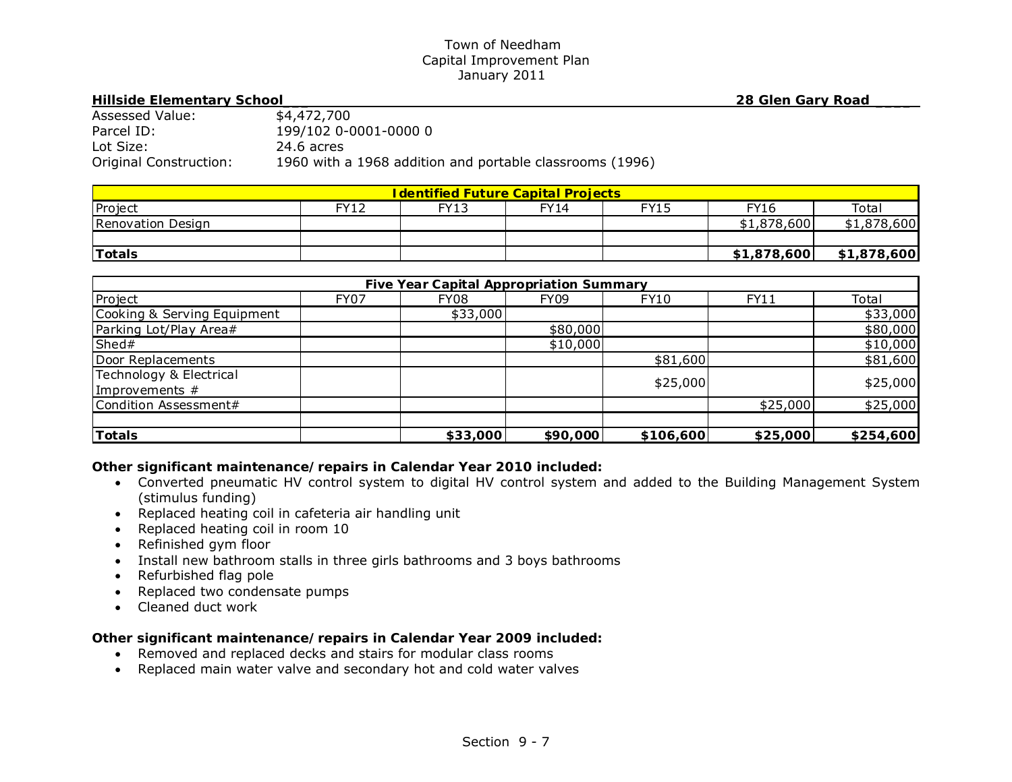#### **Hillside Elementary School\_\_\_ 28 Glen Gary Road \_\_\_\_**

| Assessed Value:        | \$4,472,700                                              |
|------------------------|----------------------------------------------------------|
| Parcel ID:             | 199/102 0-0001-0000 0                                    |
| Lot Size:              | 24.6 acres                                               |
| Original Construction: | 1960 with a 1968 addition and portable classrooms (1996) |

| <u><b>I dentified Future Capital Projects</b></u> |             |      |             |             |             |             |  |
|---------------------------------------------------|-------------|------|-------------|-------------|-------------|-------------|--|
| Project                                           | <b>FY12</b> | FY13 | <b>FY14</b> | <b>FY15</b> | FY16        | Total       |  |
| Renovation Design                                 |             |      |             |             | \$1,878,600 | \$1,878,600 |  |
|                                                   |             |      |             |             |             |             |  |
| <b>ITotals</b>                                    |             |      |             |             | \$1,878,600 | \$1,878,600 |  |

| <b>Five Year Capital Appropriation Summary</b> |             |          |             |             |          |           |  |
|------------------------------------------------|-------------|----------|-------------|-------------|----------|-----------|--|
| Project                                        | <b>FY07</b> | FY08     | <b>FY09</b> | <b>FY10</b> | FY11     | Total     |  |
| Cooking & Serving Equipment                    |             | \$33,000 |             |             |          | \$33,000  |  |
| Parking Lot/Play Area#                         |             |          | \$80,000    |             |          | \$80,000  |  |
| Shed#                                          |             |          | \$10,000    |             |          | \$10,000  |  |
| Door Replacements                              |             |          |             | \$81,600    |          | \$81,600  |  |
| Technology & Electrical                        |             |          |             | \$25,000    |          | \$25,000  |  |
| Improvements $#$                               |             |          |             |             |          |           |  |
| Condition Assessment#                          |             |          |             |             | \$25,000 | \$25,000  |  |
|                                                |             |          |             |             |          |           |  |
| <b>Totals</b>                                  |             | \$33,000 | \$90,000    | \$106,600   | \$25,000 | \$254,600 |  |

# *Other significant maintenance/repairs in Calendar Year 2010 included:*

- Converted pneumatic HV control system to digital HV control system and added to the Building Management System (stimulus funding)
- Replaced heating coil in cafeteria air handling unit
- Replaced heating coil in room 10
- Refinished gym floor
- Install new bathroom stalls in three girls bathrooms and 3 boys bathrooms
- Refurbished flag pole
- Replaced two condensate pumps
- Cleaned duct work

- Removed and replaced decks and stairs for modular class rooms
- Replaced main water valve and secondary hot and cold water valves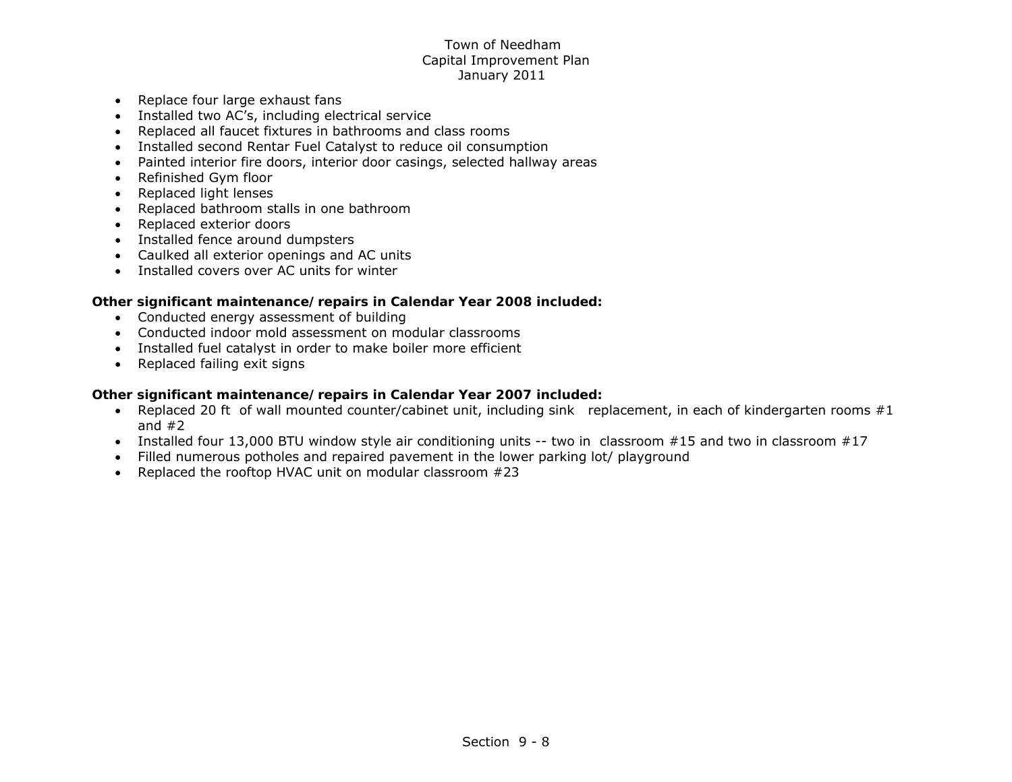- Replace four large exhaust fans
- Installed two AC's, including electrical service
- Replaced all faucet fixtures in bathrooms and class rooms
- Installed second Rentar Fuel Catalyst to reduce oil consumption
- Painted interior fire doors, interior door casings, selected hallway areas
- Refinished Gym floor
- Replaced light lenses
- Replaced bathroom stalls in one bathroom
- Replaced exterior doors
- Installed fence around dumpsters
- Caulked all exterior openings and AC units
- Installed covers over AC units for winter

# *Other significant maintenance/repairs in Calendar Year 2008 included:*

- Conducted energy assessment of building
- Conducted indoor mold assessment on modular classrooms
- Installed fuel catalyst in order to make boiler more efficient
- Replaced failing exit signs

- Replaced 20 ft of wall mounted counter/cabinet unit, including sink replacement, in each of kindergarten rooms #1 and  $#2$
- Installed four 13,000 BTU window style air conditioning units -- two in classroom #15 and two in classroom #17
- Filled numerous potholes and repaired pavement in the lower parking lot/ playground
- Replaced the rooftop HVAC unit on modular classroom  $#23$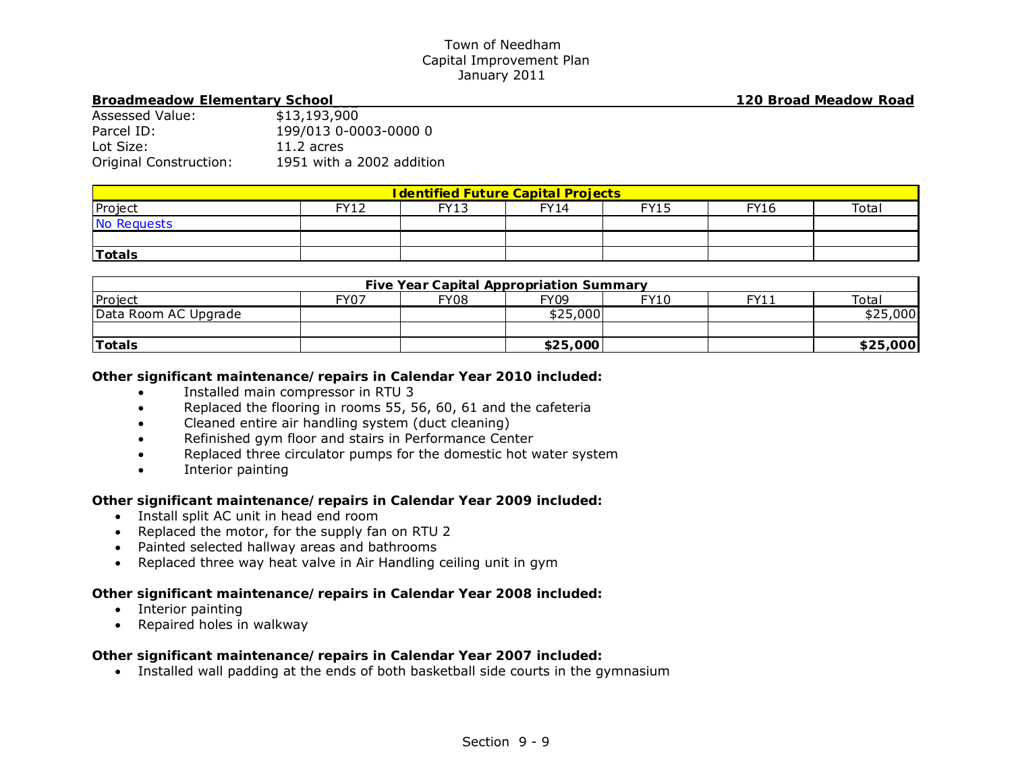#### **Broadmeadow Elementary School\_\_\_ 120 Broad Meadow Road**

| Assessed Value:        | \$13,193,900              |
|------------------------|---------------------------|
| Parcel ID:             | 199/013 0-0003-0000 0     |
| Lot Size:              | $11.2$ acres              |
| Original Construction: | 1951 with a 2002 addition |

| <b>I dentified Future Capital Projects</b> |             |      |             |             |             |       |  |
|--------------------------------------------|-------------|------|-------------|-------------|-------------|-------|--|
| Project                                    | <b>FY12</b> | FY13 | <b>FY14</b> | <b>FY15</b> | <b>FY16</b> | Total |  |
| No Requests                                |             |      |             |             |             |       |  |
|                                            |             |      |             |             |             |       |  |
| <b>Totals</b>                              |             |      |             |             |             |       |  |

| <b>Five Year Capital Appropriation Summary</b> |      |             |          |      |      |          |  |
|------------------------------------------------|------|-------------|----------|------|------|----------|--|
| Project                                        | FY07 | <b>FY08</b> | FY09     | FY10 | FY11 | Total    |  |
| Data Room AC Upgrade                           |      |             | \$25,000 |      |      | \$25,000 |  |
|                                                |      |             |          |      |      |          |  |
| <b>Totals</b>                                  |      |             | \$25,000 |      |      | \$25,000 |  |

## *Other significant maintenance/repairs in Calendar Year 2010 included:*

- $\bullet$ Installed main compressor in RTU 3
- $\bullet$ Replaced the flooring in rooms 55, 56, 60, 61 and the cafeteria
- $\bullet$ Cleaned entire air handling system (duct cleaning)
- $\bullet$ Refinished gym floor and stairs in Performance Center
- $\bullet$ Replaced three circulator pumps for the domestic hot water system
- $\bullet$ Interior painting

# *Other significant maintenance/repairs in Calendar Year 2009 included:*

- Install split AC unit in head end room
- Replaced the motor, for the supply fan on RTU 2
- Painted selected hallway areas and bathrooms
- Replaced three way heat valve in Air Handling ceiling unit in gym

## *Other significant maintenance/repairs in Calendar Year 2008 included:*

- Interior painting
- Repaired holes in walkway

# *Other significant maintenance/repairs in Calendar Year 2007 included:*

Installed wall padding at the ends of both basketball side courts in the gymnasium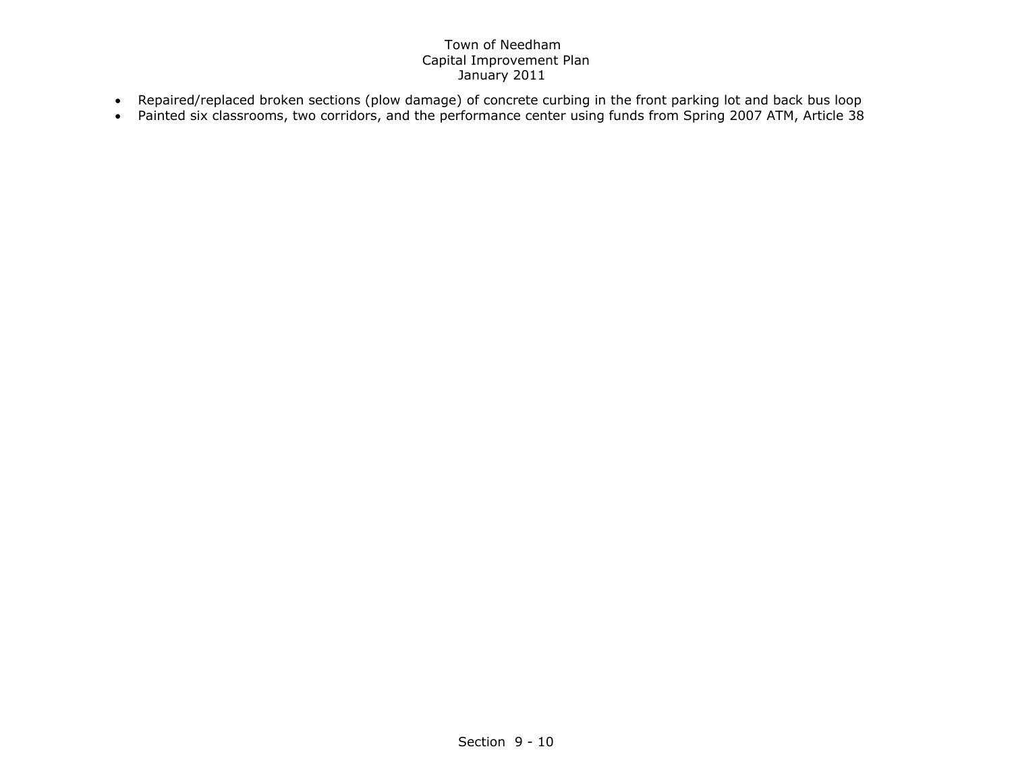- Repaired/replaced broken sections (plow damage) of concrete curbing in the front parking lot and back bus loop
- Painted six classrooms, two corridors, and the performance center using funds from Spring 2007 ATM, Article 38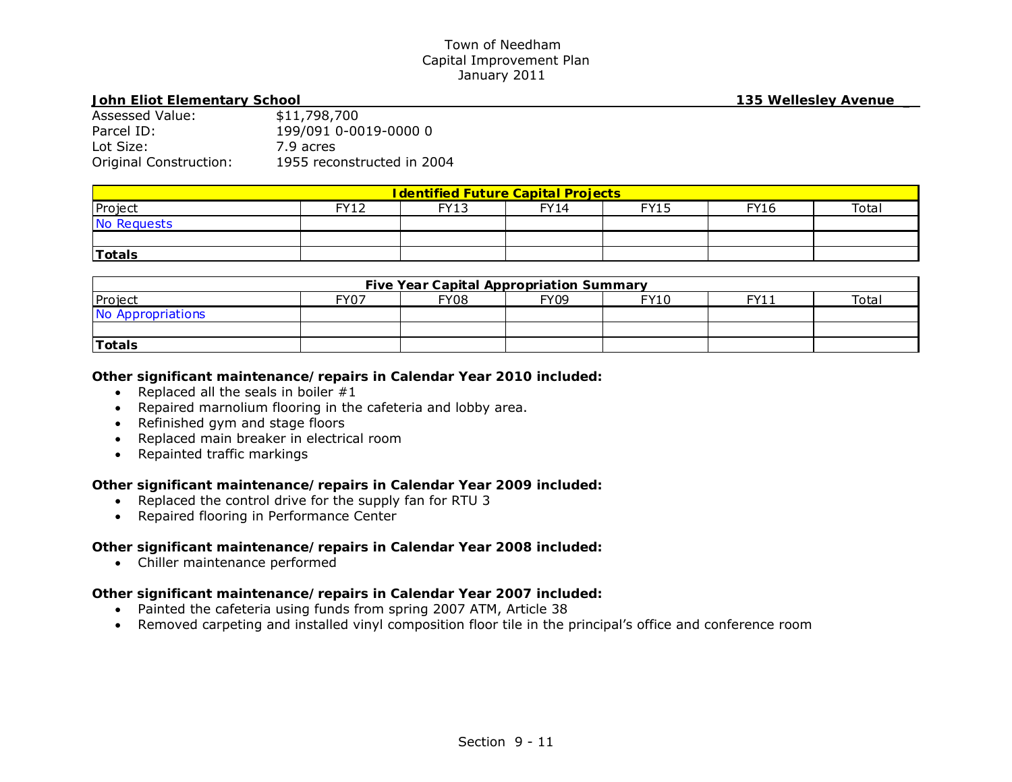#### **John Eliot Elementary School 135 Wellesley Avenue \_**

| Assessed Value:        | \$11,798,700               |
|------------------------|----------------------------|
| Parcel ID:             | 199/091 0-0019-0000 0      |
| Lot Size:              | 7.9 acres                  |
| Original Construction: | 1955 reconstructed in 2004 |

| <b>I dentified Future Capital Projects</b> |      |             |             |             |             |       |  |
|--------------------------------------------|------|-------------|-------------|-------------|-------------|-------|--|
| Project                                    | FY12 | <b>FY13</b> | <b>FY14</b> | <b>FY15</b> | <b>FY16</b> | Total |  |
| No Requests                                |      |             |             |             |             |       |  |
|                                            |      |             |             |             |             |       |  |
| Totals                                     |      |             |             |             |             |       |  |

| <b>Five Year Capital Appropriation Summary</b> |      |             |             |             |      |       |  |
|------------------------------------------------|------|-------------|-------------|-------------|------|-------|--|
| Project                                        | FY07 | <b>FY08</b> | <b>FY09</b> | <b>FY10</b> | FY11 | Total |  |
| No Appropriations                              |      |             |             |             |      |       |  |
|                                                |      |             |             |             |      |       |  |
| Totals                                         |      |             |             |             |      |       |  |

## *Other significant maintenance/repairs in Calendar Year 2010 included:*

- Replaced all the seals in boiler  $#1$
- Repaired marnolium flooring in the cafeteria and lobby area.
- Refinished gym and stage floors
- Replaced main breaker in electrical room
- Repainted traffic markings

# *Other significant maintenance/repairs in Calendar Year 2009 included:*

- Replaced the control drive for the supply fan for RTU 3
- Repaired flooring in Performance Center

# *Other significant maintenance/repairs in Calendar Year 2008 included:*

Chiller maintenance performed

- Painted the cafeteria using funds from spring 2007 ATM, Article 38
- Removed carpeting and installed vinyl composition floor tile in the principal's office and conference room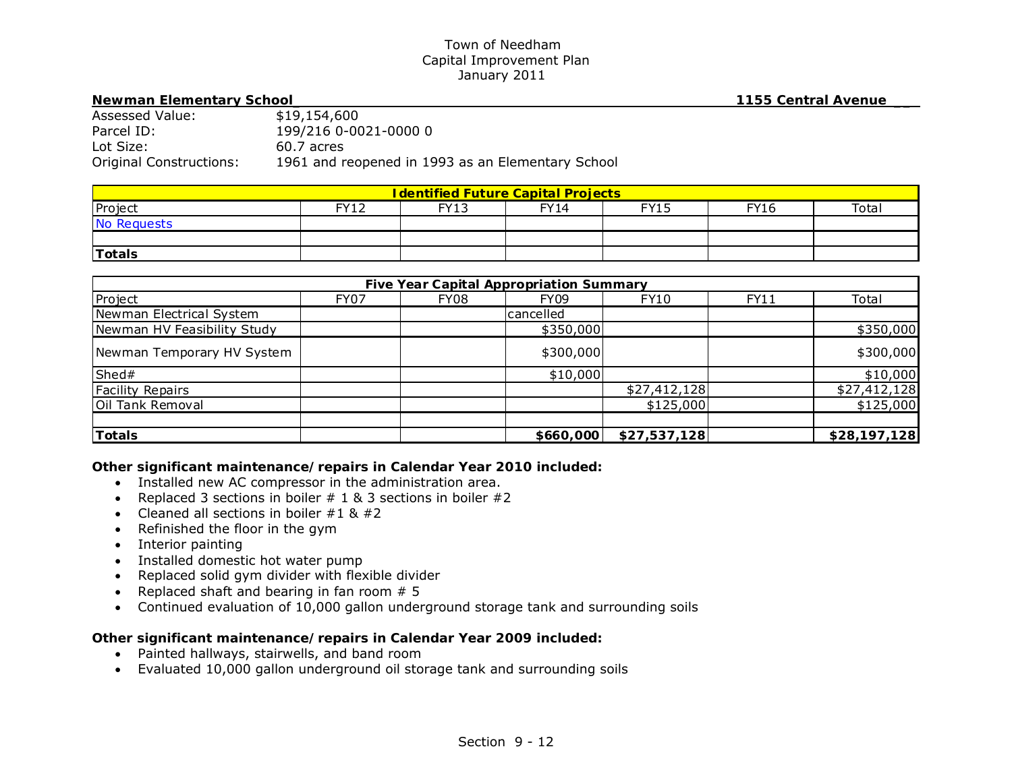#### **Newman Elementary School\_ 1155 Central Avenue \_\_**

| Assessed Value:         | \$19,154,600                                      |
|-------------------------|---------------------------------------------------|
| Parcel ID:              | 199/216 0-0021-0000 0                             |
| Lot Size:               | 60.7 acres                                        |
| Original Constructions: | 1961 and reopened in 1993 as an Elementary School |

| <b>I dentified Future Capital Projects</b> |       |      |             |      |             |       |  |
|--------------------------------------------|-------|------|-------------|------|-------------|-------|--|
| Project                                    | EV1 J | FY13 | <b>FY14</b> | FY15 | <b>FY16</b> | Total |  |
| No Requests                                |       |      |             |      |             |       |  |
|                                            |       |      |             |      |             |       |  |
| <b>Totals</b>                              |       |      |             |      |             |       |  |

| <b>Five Year Capital Appropriation Summary</b> |             |      |             |              |      |              |  |  |
|------------------------------------------------|-------------|------|-------------|--------------|------|--------------|--|--|
| Project                                        | <b>FY07</b> | FY08 | <b>FY09</b> | <b>FY10</b>  | FY11 | Total        |  |  |
| Newman Electrical System                       |             |      | lcancelled  |              |      |              |  |  |
| Newman HV Feasibility Study                    |             |      | \$350,000   |              |      | \$350,000    |  |  |
| Newman Temporary HV System                     |             |      | \$300,000   |              |      | \$300,000    |  |  |
| Shed#                                          |             |      | \$10,000    |              |      | \$10,000     |  |  |
| <b>Facility Repairs</b>                        |             |      |             | \$27,412,128 |      | \$27,412,128 |  |  |
| Oil Tank Removal                               |             |      |             | \$125,000    |      | \$125,000    |  |  |
|                                                |             |      |             |              |      |              |  |  |
| <b>Totals</b>                                  |             |      | \$660,000   | \$27,537,128 |      | \$28,197,128 |  |  |

*Other significant maintenance/repairs in Calendar Year 2010 included:* 

- Installed new AC compressor in the administration area.
- Replaced 3 sections in boiler  $# 1 & 8 & 3$  sections in boiler  $#2$
- Cleaned all sections in boiler  $\#1 \& \#2$
- Refinished the floor in the gym
- Interior painting
- Installed domestic hot water pump
- Replaced solid gym divider with flexible divider
- Replaced shaft and bearing in fan room  $# 5$
- Continued evaluation of 10,000 gallon underground storage tank and surrounding soils

- Painted hallways, stairwells, and band room
- Evaluated 10,000 gallon underground oil storage tank and surrounding soils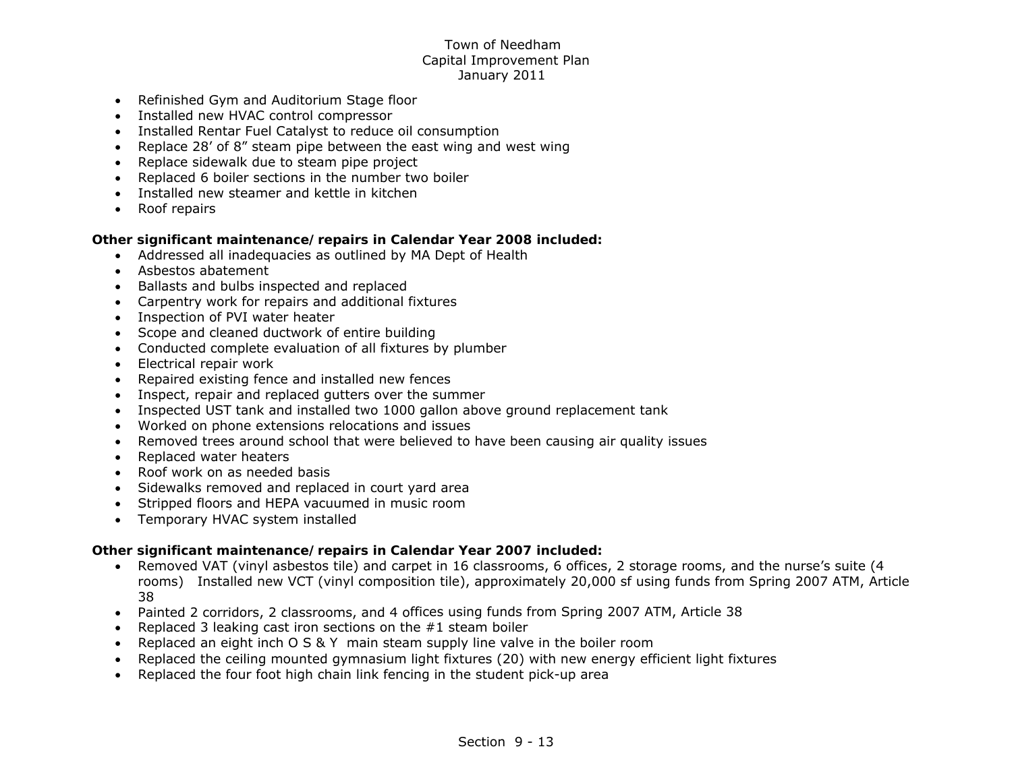- Refinished Gym and Auditorium Stage floor
- Installed new HVAC control compressor
- Installed Rentar Fuel Catalyst to reduce oil consumption
- Replace 28' of 8" steam pipe between the east wing and west wing
- Replace sidewalk due to steam pipe project
- Replaced 6 boiler sections in the number two boiler
- Installed new steamer and kettle in kitchen
- Roof repairs

# *Other significant maintenance/repairs in Calendar Year 2008 included:*

- Addressed all inadequacies as outlined by MA Dept of Health
- Asbestos abatement
- Ballasts and bulbs inspected and replaced
- Carpentry work for repairs and additional fixtures
- Inspection of PVI water heater
- Scope and cleaned ductwork of entire building
- Conducted complete evaluation of all fixtures by plumber
- Electrical repair work
- Repaired existing fence and installed new fences
- Inspect, repair and replaced gutters over the summer
- Inspected UST tank and installed two 1000 gallon above ground replacement tank
- Worked on phone extensions relocations and issues
- Removed trees around school that were believed to have been causing air quality issues
- Replaced water heaters
- Roof work on as needed basis
- Sidewalks removed and replaced in court yard area
- Stripped floors and HEPA vacuumed in music room
- Temporary HVAC system installed

- Removed VAT (vinyl asbestos tile) and carpet in 16 classrooms, 6 offices, 2 storage rooms, and the nurse's suite (4 rooms) Installed new VCT (vinyl composition tile), approximately 20,000 sf using funds from Spring 2007 ATM, Article 38
- Painted 2 corridors, 2 classrooms, and 4 offices using funds from Spring 2007 ATM, Article 38
- Replaced 3 leaking cast iron sections on the #1 steam boiler
- $\bullet$ Replaced an eight inch O S & Y main steam supply line valve in the boiler room
- $\bullet$ Replaced the ceiling mounted gymnasium light fixtures (20) with new energy efficient light fixtures
- $\bullet$ Replaced the four foot high chain link fencing in the student pick-up area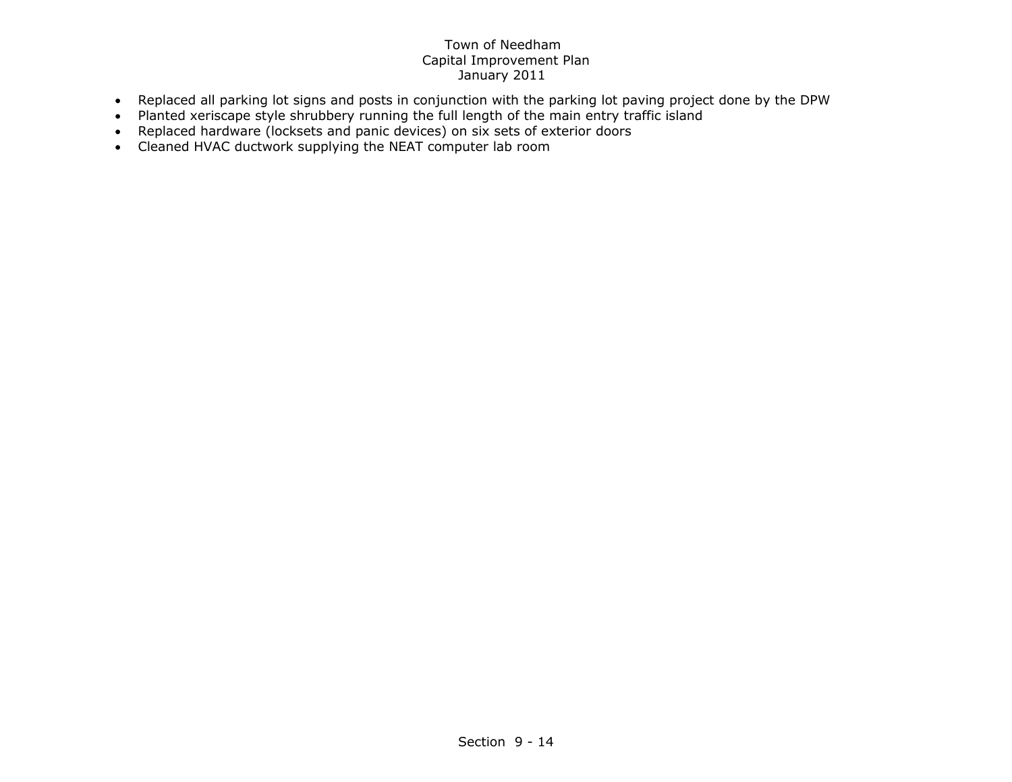- Replaced all parking lot signs and posts in conjunction with the parking lot paving project done by the DPW
- Planted xeriscape style shrubbery running the full length of the main entry traffic island
- Replaced hardware (locksets and panic devices) on six sets of exterior doors
- Cleaned HVAC ductwork supplying the NEAT computer lab room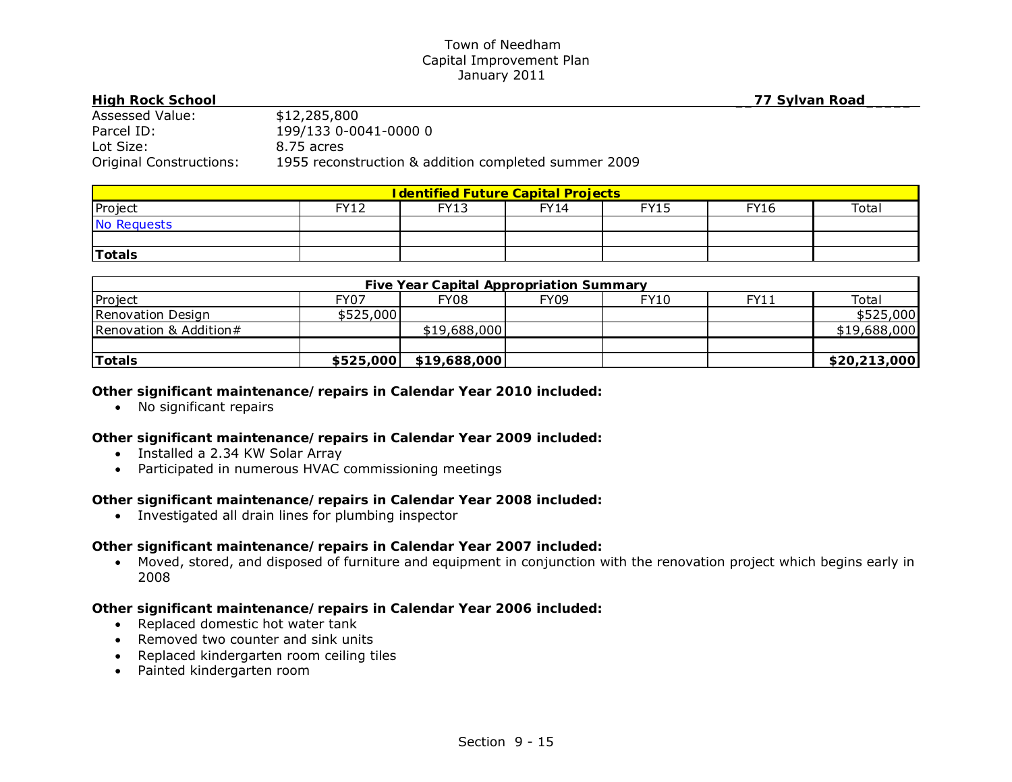| <b>High Rock School</b>        |                                                      | 77 Sylvan Road |
|--------------------------------|------------------------------------------------------|----------------|
| Assessed Value:                | \$12,285,800                                         |                |
| Parcel ID:                     | 199/133 0-0041-0000 0                                |                |
| Lot Size:                      | 8.75 acres                                           |                |
| <b>Original Constructions:</b> | 1955 reconstruction & addition completed summer 2009 |                |

| <b>I dentified Future Capital Projects</b> |             |      |             |             |             |       |  |
|--------------------------------------------|-------------|------|-------------|-------------|-------------|-------|--|
| Project                                    | <b>FY12</b> | FY13 | <b>FY14</b> | <b>FY15</b> | <b>FY16</b> | Total |  |
| No Requests                                |             |      |             |             |             |       |  |
|                                            |             |      |             |             |             |       |  |
| <b>Totals</b>                              |             |      |             |             |             |       |  |

| <b>Five Year Capital Appropriation Summary</b> |             |                        |             |      |      |              |  |
|------------------------------------------------|-------------|------------------------|-------------|------|------|--------------|--|
| Project                                        | <b>FY07</b> | FY08                   | <b>FY09</b> | FY10 | FY11 | Total        |  |
| Renovation Design                              | \$525,000   |                        |             |      |      | \$525,000    |  |
| Renovation & Addition#                         |             | \$19,688,000           |             |      |      | \$19,688,000 |  |
|                                                |             |                        |             |      |      |              |  |
| <b>Totals</b>                                  |             | \$525,000 \$19,688,000 |             |      |      | \$20,213,000 |  |

## *Other significant maintenance/repairs in Calendar Year 2010 included:*

• No significant repairs

## *Other significant maintenance/repairs in Calendar Year 2009 included:*

- Installed a 2.34 KW Solar Array
- Participated in numerous HVAC commissioning meetings

## *Other significant maintenance/repairs in Calendar Year 2008 included:*

Investigated all drain lines for plumbing inspector

## *Other significant maintenance/repairs in Calendar Year 2007 included:*

 Moved, stored, and disposed of furniture and equipment in conjunction with the renovation project which begins early in 2008

- Replaced domestic hot water tank
- Removed two counter and sink units
- Replaced kindergarten room ceiling tiles
- Painted kindergarten room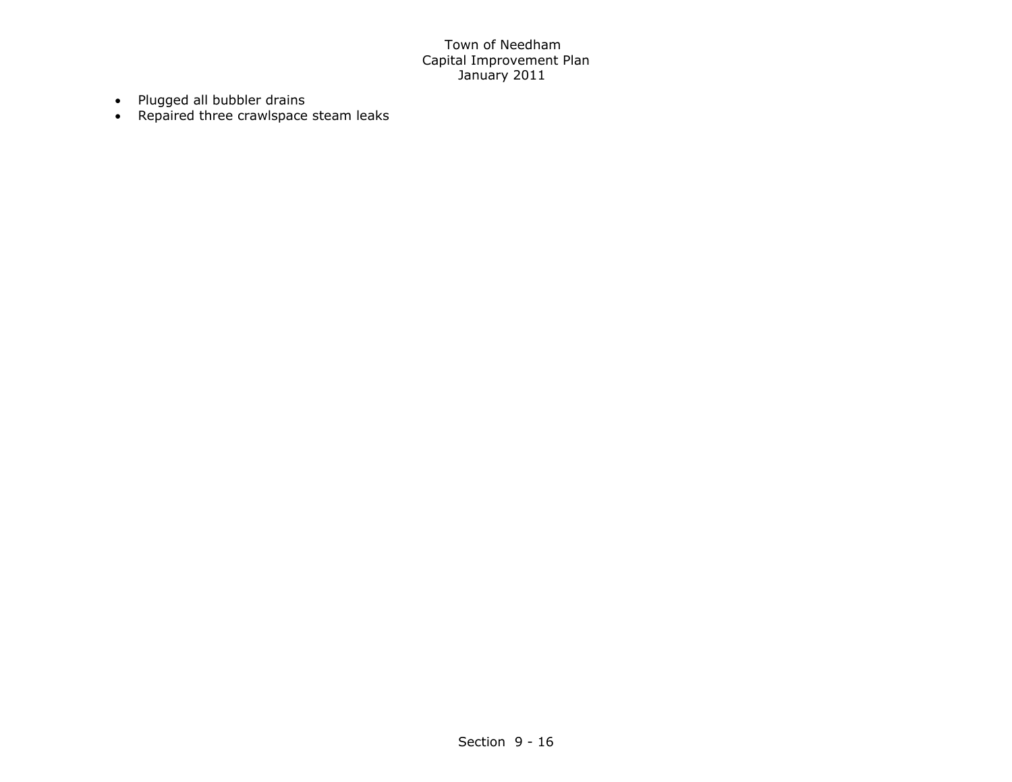- Plugged all bubbler drains
- Repaired three crawlspace steam leaks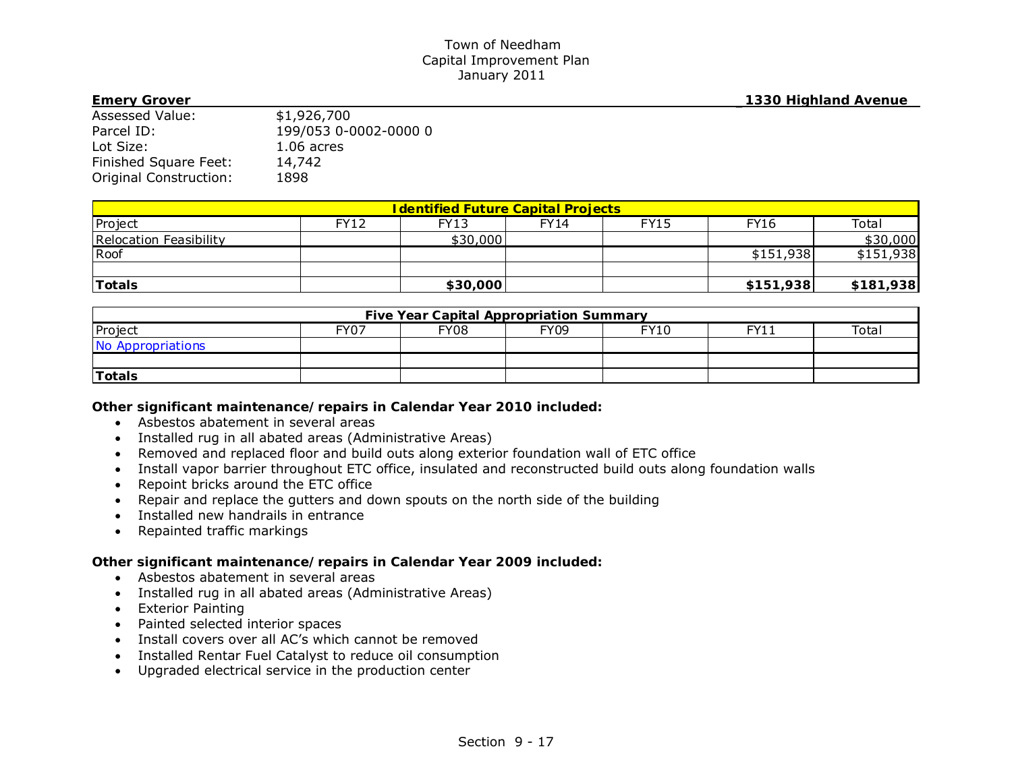**Emery Grover \_1330 Highland Avenue**

| <b>Assessed Value:</b> | \$1,926,700           |
|------------------------|-----------------------|
| Parcel ID:             | 199/053 0-0002-0000 0 |
| Lot Size:              | $1.06$ acres          |
| Finished Square Feet:  | 14,742                |
| Original Construction: | 1898                  |

| <b>I dentified Future Capital Projects</b> |             |          |      |             |             |           |
|--------------------------------------------|-------------|----------|------|-------------|-------------|-----------|
| Project                                    | <b>FY12</b> | FY13     | FY14 | <b>FY15</b> | <b>FY16</b> | Total     |
| Relocation Feasibility                     |             | \$30,000 |      |             |             | \$30,000  |
| Roof                                       |             |          |      |             | \$151,938   | \$151,938 |
|                                            |             |          |      |             |             |           |
| <b>Totals</b>                              |             | \$30,000 |      |             | \$151,938   | \$181,938 |

| <b>Five Year Capital Appropriation Summary</b> |      |             |             |             |       |       |
|------------------------------------------------|------|-------------|-------------|-------------|-------|-------|
| Project                                        | FY07 | <b>FY08</b> | <b>FY09</b> | <b>FY10</b> | EV1 · | Total |
| No Appropriations                              |      |             |             |             |       |       |
|                                                |      |             |             |             |       |       |
| <b>Totals</b>                                  |      |             |             |             |       |       |

### *Other significant maintenance/repairs in Calendar Year 2010 included:*

- Asbestos abatement in several areas
- Installed rug in all abated areas (Administrative Areas)
- Removed and replaced floor and build outs along exterior foundation wall of ETC office
- Install vapor barrier throughout ETC office, insulated and reconstructed build outs along foundation walls
- Repoint bricks around the ETC office
- Repair and replace the gutters and down spouts on the north side of the building
- Installed new handrails in entrance
- Repainted traffic markings

- Asbestos abatement in several areas
- Installed rug in all abated areas (Administrative Areas)
- Exterior Painting
- Painted selected interior spaces
- Install covers over all AC's which cannot be removed
- Installed Rentar Fuel Catalyst to reduce oil consumption
- Upgraded electrical service in the production center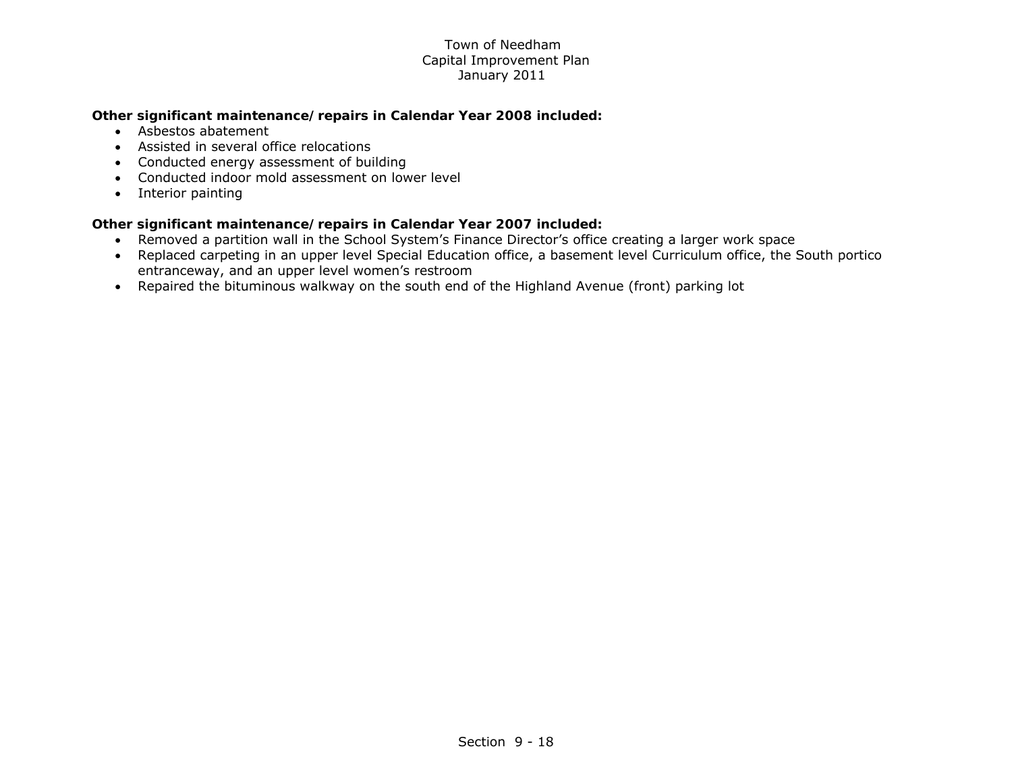# *Other significant maintenance/repairs in Calendar Year 2008 included:*

- Asbestos abatement
- Assisted in several office relocations
- Conducted energy assessment of building
- Conducted indoor mold assessment on lower level
- Interior painting

- Removed a partition wall in the School System's Finance Director's office creating a larger work space
- Replaced carpeting in an upper level Special Education office, a basement level Curriculum office, the South portico entranceway, and an upper level women's restroom
- Repaired the bituminous walkway on the south end of the Highland Avenue (front) parking lot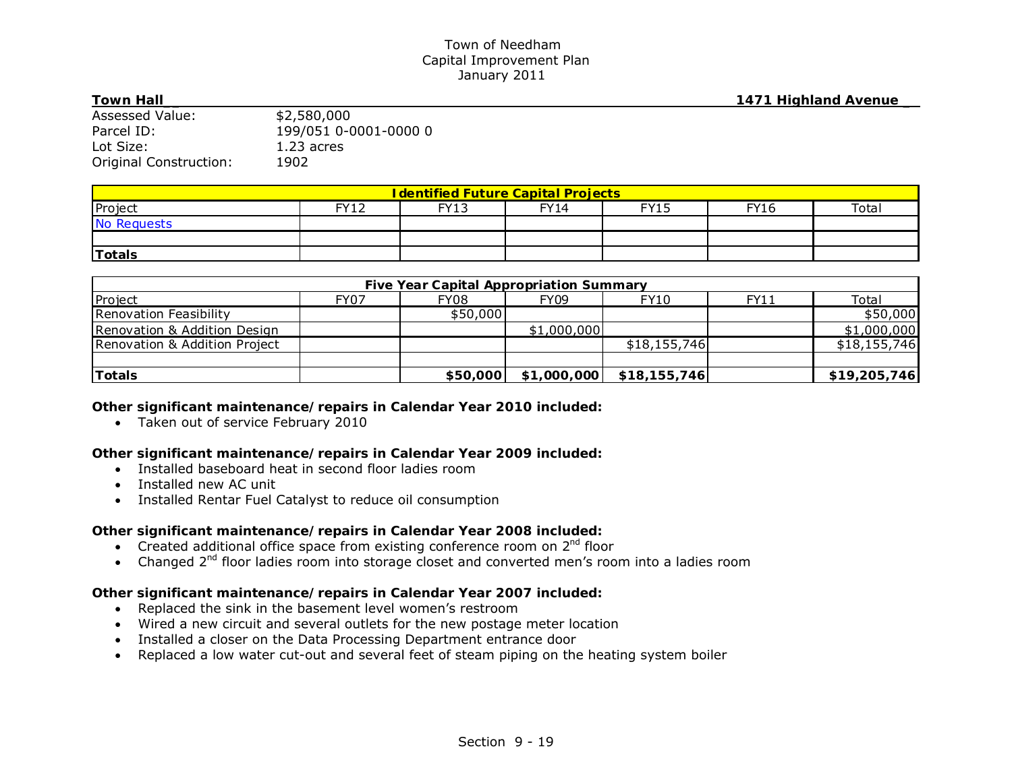#### **Town Hall\_\_ 1471 Highland Avenue \_**

| 1 YW 11 11 14 11       |                       |
|------------------------|-----------------------|
| Assessed Value:        | \$2,580,000           |
| Parcel ID:             | 199/051 0-0001-0000 0 |
| Lot Size:              | $1.23$ acres          |
| Original Construction: | 1902                  |

| <b>I dentified Future Capital Projects</b> |           |             |             |             |             |       |
|--------------------------------------------|-----------|-------------|-------------|-------------|-------------|-------|
| Project                                    | EVI2<br>┸ | <b>FY13</b> | <b>FY14</b> | <b>FY15</b> | <b>FY16</b> | Total |
| No Requests                                |           |             |             |             |             |       |
|                                            |           |             |             |             |             |       |
| <b>Totals</b>                              |           |             |             |             |             |       |

| <b>Five Year Capital Appropriation Summary</b> |             |          |             |              |             |              |
|------------------------------------------------|-------------|----------|-------------|--------------|-------------|--------------|
| Project                                        | <b>FY07</b> | FY08     | <b>FY09</b> | FY10         | <b>FY11</b> | Total        |
| Renovation Feasibility                         |             | \$50,000 |             |              |             | \$50,000     |
| Renovation & Addition Design                   |             |          | \$1,000,000 |              |             | \$1,000,000  |
| Renovation & Addition Project                  |             |          |             | \$18,155,746 |             | \$18,155,746 |
|                                                |             |          |             |              |             |              |
| <b>Totals</b>                                  |             | \$50,000 | \$1,000,000 | \$18,155,746 |             | \$19,205,746 |

### *Other significant maintenance/repairs in Calendar Year 2010 included:*

Taken out of service February 2010

## *Other significant maintenance/repairs in Calendar Year 2009 included:*

- Installed baseboard heat in second floor ladies room
- Installed new AC unit
- $\bullet$ Installed Rentar Fuel Catalyst to reduce oil consumption

## *Other significant maintenance/repairs in Calendar Year 2008 included:*

- Created additional office space from existing conference room on  $2<sup>nd</sup>$  floor
- Changed 2<sup>nd</sup> floor ladies room into storage closet and converted men's room into a ladies room

- Replaced the sink in the basement level women's restroom
- Wired a new circuit and several outlets for the new postage meter location
- Installed a closer on the Data Processing Department entrance door
- Replaced a low water cut-out and several feet of steam piping on the heating system boiler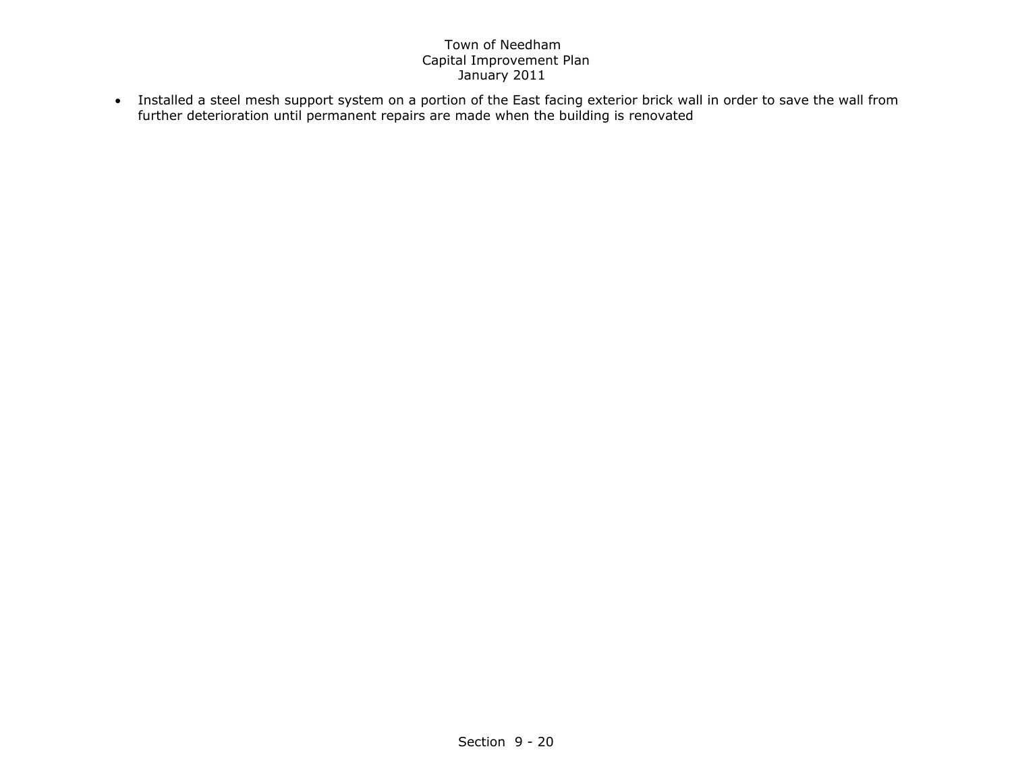Installed a steel mesh support system on a portion of the East facing exterior brick wall in order to save the wall from further deterioration until permanent repairs are made when the building is renovated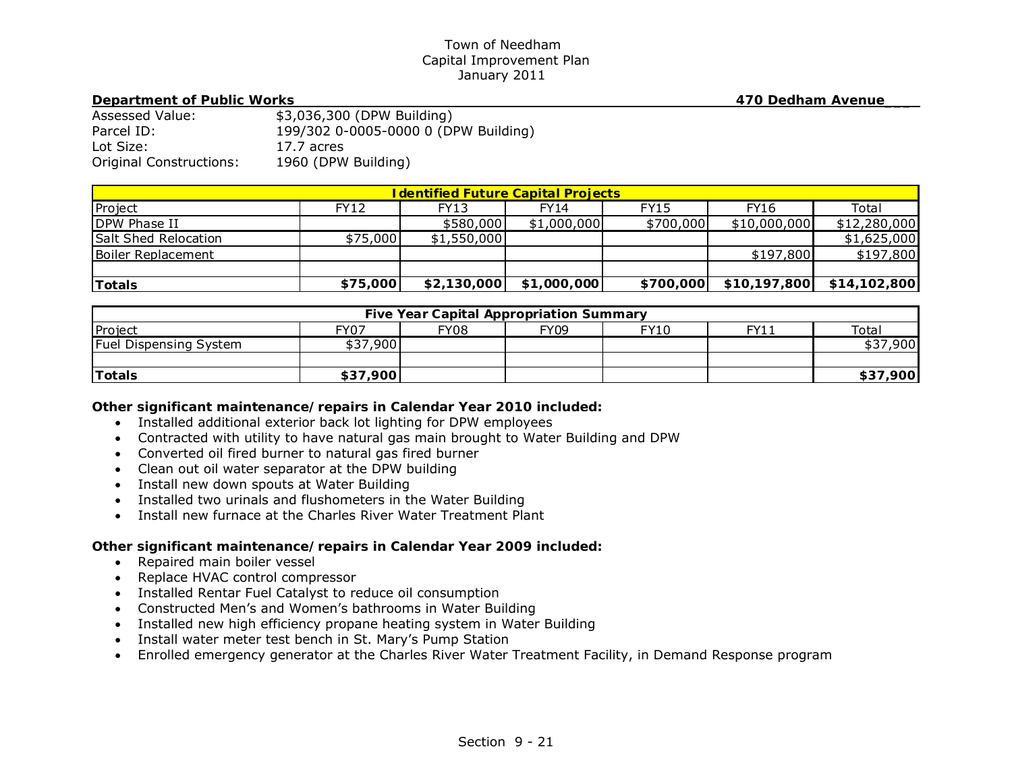#### **Department of Public Works 470 Dedham Avenue**

| Assessed Value:                | \$3,036,300 (DPW Building)           |
|--------------------------------|--------------------------------------|
| Parcel ID:                     | 199/302 0-0005-0000 0 (DPW Building) |
| Lot Size:                      | 17.7 acres                           |
| <b>Original Constructions:</b> | 1960 (DPW Building)                  |

| <b>I dentified Future Capital Projects</b> |             |             |             |             |              |              |  |
|--------------------------------------------|-------------|-------------|-------------|-------------|--------------|--------------|--|
| Project                                    | <b>FY12</b> | FY13        | FY14        | <b>FY15</b> | <b>FY16</b>  | Total        |  |
| DPW Phase II                               |             | \$580,000   | \$1,000,000 | \$700,000   | \$10,000,000 | \$12,280,000 |  |
| Salt Shed Relocation                       | \$75,000    | \$1,550,000 |             |             |              | \$1,625,000  |  |
| Boiler Replacement                         |             |             |             |             | \$197,800    | \$197,800    |  |
|                                            |             |             |             |             |              |              |  |
| <b>Totals</b>                              | \$75,000    | \$2,130,000 | \$1,000,000 | \$700,000   | \$10,197,800 | \$14,102,800 |  |

| <b>Five Year Capital Appropriation Summary</b> |          |             |             |             |      |              |
|------------------------------------------------|----------|-------------|-------------|-------------|------|--------------|
| Project                                        | FY07     | <b>FY08</b> | <b>FY09</b> | <b>FY10</b> | FY11 | Total        |
| <b>Fuel Dispensing System</b>                  | \$37,900 |             |             |             |      | ,900<br>\$37 |
|                                                |          |             |             |             |      |              |
| Totals                                         | \$37,900 |             |             |             |      | \$37,900     |

## *Other significant maintenance/repairs in Calendar Year 2010 included:*

- Installed additional exterior back lot lighting for DPW employees
- Contracted with utility to have natural gas main brought to Water Building and DPW
- Converted oil fired burner to natural gas fired burner
- Clean out oil water separator at the DPW building
- Install new down spouts at Water Building
- Installed two urinals and flushometers in the Water Building
- Install new furnace at the Charles River Water Treatment Plant

- Repaired main boiler vessel
- Replace HVAC control compressor
- Installed Rentar Fuel Catalyst to reduce oil consumption
- Constructed Men's and Women's bathrooms in Water Building
- Installed new high efficiency propane heating system in Water Building
- Install water meter test bench in St. Mary's Pump Station
- Enrolled emergency generator at the Charles River Water Treatment Facility, in Demand Response program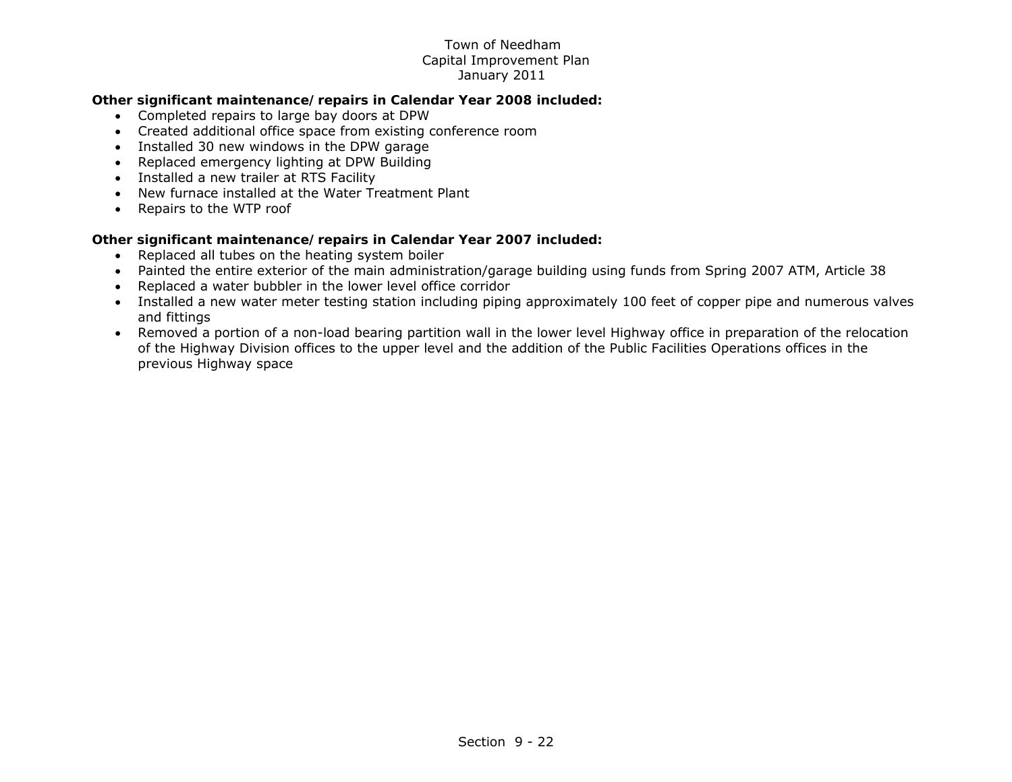## *Other significant maintenance/repairs in Calendar Year 2008 included:*

- Completed repairs to large bay doors at DPW
- Created additional office space from existing conference room
- Installed 30 new windows in the DPW garage
- Replaced emergency lighting at DPW Building
- Installed a new trailer at RTS Facility
- New furnace installed at the Water Treatment Plant
- Repairs to the WTP roof

- Replaced all tubes on the heating system boiler
- Painted the entire exterior of the main administration/garage building using funds from Spring 2007 ATM, Article 38
- Replaced a water bubbler in the lower level office corridor
- Installed a new water meter testing station including piping approximately 100 feet of copper pipe and numerous valves and fittings
- Removed a portion of a non-load bearing partition wall in the lower level Highway office in preparation of the relocation of the Highway Division offices to the upper level and the addition of the Public Facilities Operations offices in the previous Highway space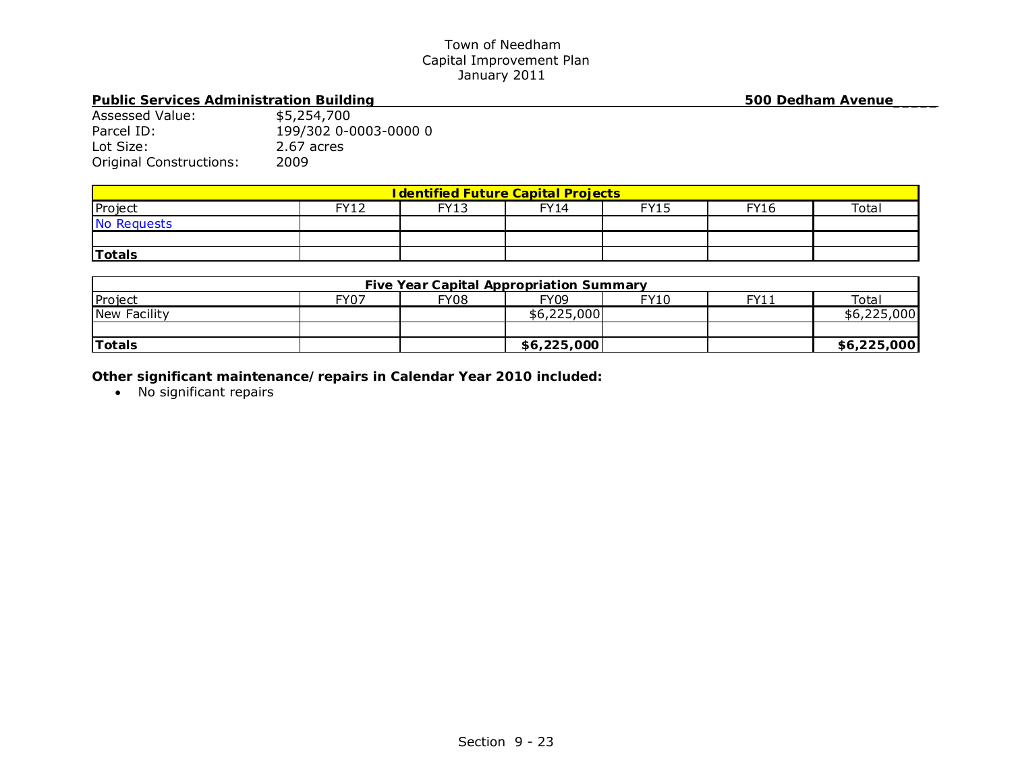# Public Services Administration Building 500 Dedham Avenue

| Assessed Value:                | \$5,254,700           |
|--------------------------------|-----------------------|
| Parcel ID:                     | 199/302 0-0003-0000 0 |
| Lot Size:                      | 2.67 acres            |
| <b>Original Constructions:</b> | 2009                  |

| <b>I dentified Future Capital Projects</b> |      |             |             |             |             |       |  |
|--------------------------------------------|------|-------------|-------------|-------------|-------------|-------|--|
| Project                                    | EVI2 | <b>FY13</b> | <b>FY14</b> | <b>EV15</b> | <b>FY16</b> | Total |  |
| No Requests                                |      |             |             |             |             |       |  |
|                                            |      |             |             |             |             |       |  |
| <b>Totals</b>                              |      |             |             |             |             |       |  |

| <b>Five Year Capital Appropriation Summary</b> |      |             |             |      |      |             |
|------------------------------------------------|------|-------------|-------------|------|------|-------------|
| Project                                        | FY07 | <b>FY08</b> | <b>FY09</b> | FY10 | FY11 | Total       |
| New Facility                                   |      |             | \$6,225,000 |      |      | \$6,225,000 |
|                                                |      |             |             |      |      |             |
| Totals                                         |      |             | \$6,225,000 |      |      | \$6,225,000 |

*Other significant maintenance/repairs in Calendar Year 2010 included:* 

• No significant repairs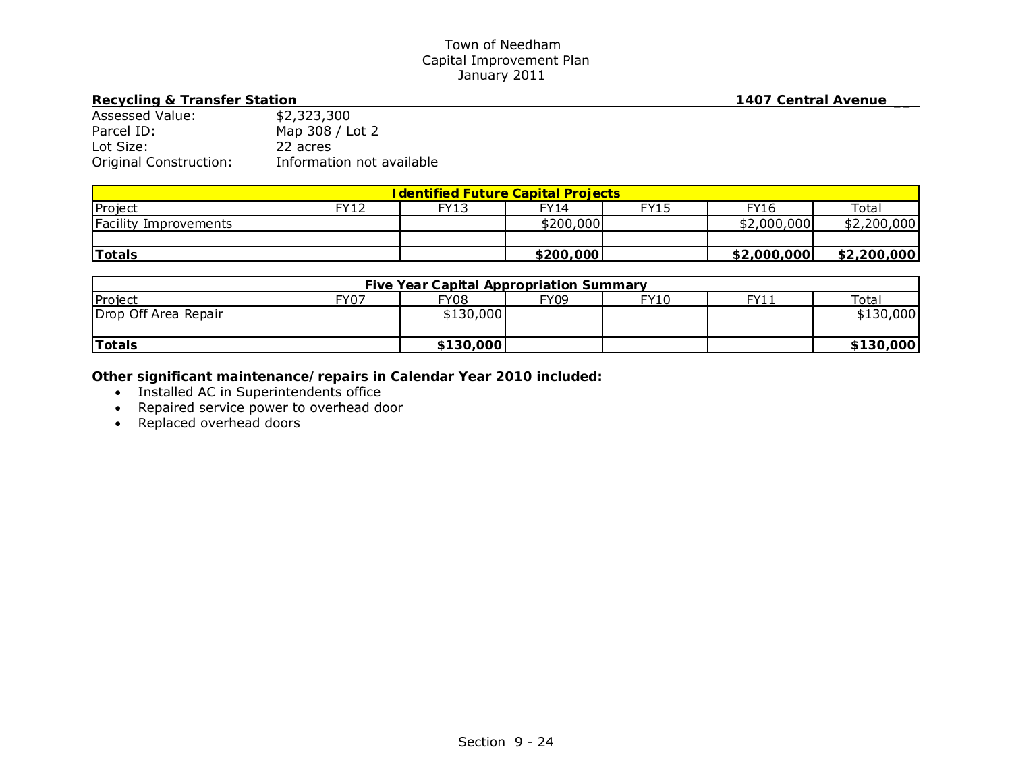# Recycling & Transfer Station **1407** Central Avenue

| <b>Assessed Value:</b> | \$2,323,300               |
|------------------------|---------------------------|
| Parcel ID:             | Map 308 / Lot 2           |
| Lot Size:              | 22 acres                  |
| Original Construction: | Information not available |

| <u><b>I dentified Future Capital Projects</b></u> |      |      |             |             |             |             |  |
|---------------------------------------------------|------|------|-------------|-------------|-------------|-------------|--|
| Project                                           | FY12 | FY13 | <b>FY14</b> | <b>FY15</b> | <b>FY16</b> | Total       |  |
| Facility Improvements                             |      |      | \$200,000   |             | \$2,000,000 | \$2,200,000 |  |
|                                                   |      |      |             |             |             |             |  |
| <b>Totals</b>                                     |      |      | \$200,000   |             | \$2,000,000 | \$2,200,000 |  |

| <b>Five Year Capital Appropriation Summary</b> |             |             |             |      |      |           |
|------------------------------------------------|-------------|-------------|-------------|------|------|-----------|
| Project                                        | <b>FY07</b> | <b>FY08</b> | <b>FY09</b> | FY10 | FY11 | Total     |
| Drop Off Area Repair                           |             | \$130,000   |             |      |      | \$130,000 |
|                                                |             |             |             |      |      |           |
| Totals                                         |             | \$130,000   |             |      |      | \$130,000 |

- Installed AC in Superintendents office
- Repaired service power to overhead door
- Replaced overhead doors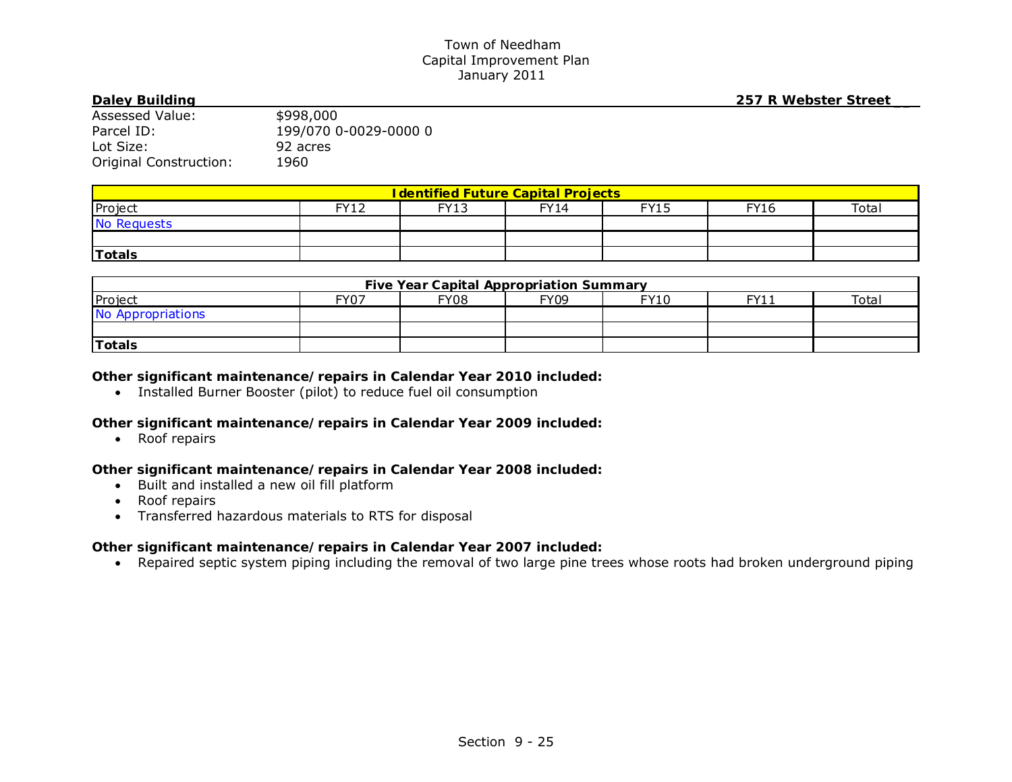**Daley Building 257 R Webster Street \_\_**

| Assessed Value:        | \$998,000             |
|------------------------|-----------------------|
| Parcel ID:             | 199/070 0-0029-0000 0 |
| Lot Size:              | 92 acres              |
| Original Construction: | 1960                  |

| <b>I dentified Future Capital Projects</b> |             |             |             |             |             |       |  |
|--------------------------------------------|-------------|-------------|-------------|-------------|-------------|-------|--|
| Project                                    | <b>FY12</b> | <b>FY13</b> | <b>FY14</b> | <b>FY15</b> | <b>FY16</b> | Total |  |
| No Requests                                |             |             |             |             |             |       |  |
|                                            |             |             |             |             |             |       |  |
| Totals                                     |             |             |             |             |             |       |  |

| <b>Five Year Capital Appropriation Summary</b> |      |             |             |      |           |       |  |
|------------------------------------------------|------|-------------|-------------|------|-----------|-------|--|
| Project                                        | FY07 | <b>FY08</b> | <b>FY09</b> | FY10 | EV1:<br>. | Total |  |
| No Appropriations                              |      |             |             |      |           |       |  |
|                                                |      |             |             |      |           |       |  |
| Totals                                         |      |             |             |      |           |       |  |

# *Other significant maintenance/repairs in Calendar Year 2010 included:*

Installed Burner Booster (pilot) to reduce fuel oil consumption

# *Other significant maintenance/repairs in Calendar Year 2009 included:*

• Roof repairs

# *Other significant maintenance/repairs in Calendar Year 2008 included:*

- Built and installed a new oil fill platform
- Roof repairs
- Transferred hazardous materials to RTS for disposal

# *Other significant maintenance/repairs in Calendar Year 2007 included:*

Repaired septic system piping including the removal of two large pine trees whose roots had broken underground piping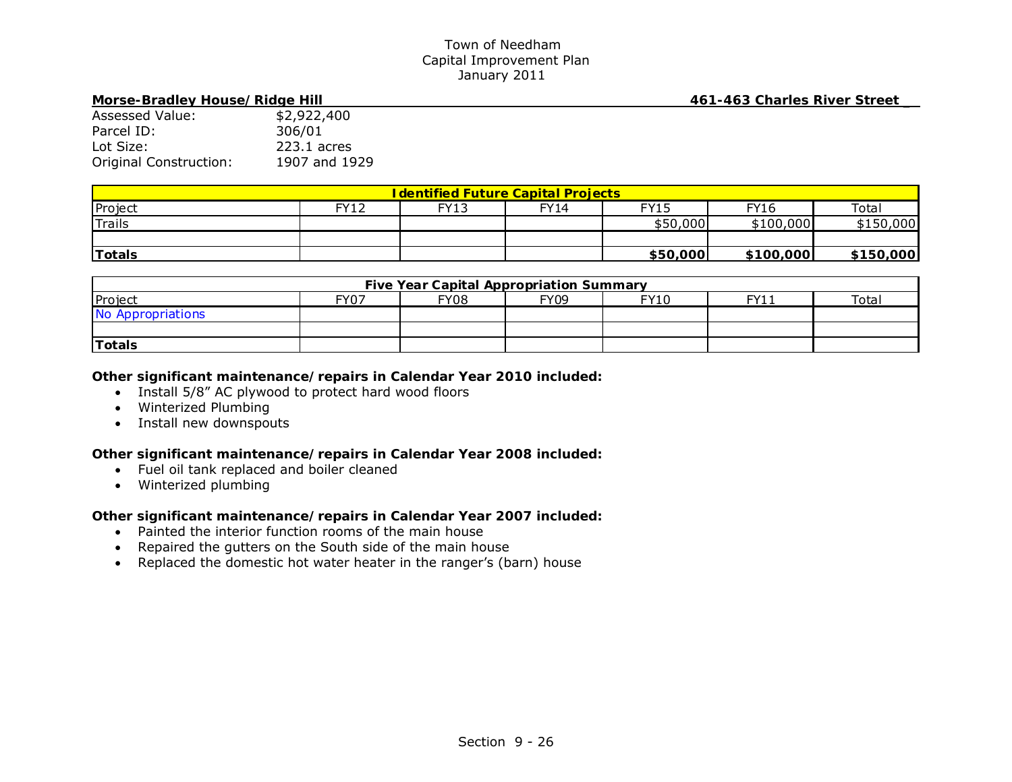# **Morse-Bradley House/Ridge Hill 461-463 Charles River Street \_**

| <u> Morse-Bradiey House/Ridge Hill</u> |  |  |  |  |  |  |
|----------------------------------------|--|--|--|--|--|--|
| \$2,922,400                            |  |  |  |  |  |  |
| 306/01                                 |  |  |  |  |  |  |
| 223.1 acres                            |  |  |  |  |  |  |
| 1907 and 1929                          |  |  |  |  |  |  |
|                                        |  |  |  |  |  |  |

| <b>I dentified Future Capital Projects</b> |                 |             |       |             |             |                   |  |
|--------------------------------------------|-----------------|-------------|-------|-------------|-------------|-------------------|--|
| Project                                    | EV12<br>$\perp$ | <b>FY13</b> | FY 14 | <b>FY15</b> | <b>FY16</b> | Tota <sub>i</sub> |  |
| <sup>I</sup> Trails                        |                 |             |       | \$50,000    | \$100,000   | \$150,000         |  |
|                                            |                 |             |       |             |             |                   |  |
| 'Totals                                    |                 |             |       | \$50,000    | \$100,000   | \$150,000         |  |

| <b>Five Year Capital Appropriation Summary</b> |             |             |             |      |     |       |
|------------------------------------------------|-------------|-------------|-------------|------|-----|-------|
| Project                                        | <b>FY07</b> | <b>FY08</b> | <b>FY09</b> | FY10 | FY1 | Total |
| No Appropriations                              |             |             |             |      |     |       |
|                                                |             |             |             |      |     |       |
| Totals                                         |             |             |             |      |     |       |

## *Other significant maintenance/repairs in Calendar Year 2010 included:*

- Install 5/8" AC plywood to protect hard wood floors
- Winterized Plumbing
- Install new downspouts

## *Other significant maintenance/repairs in Calendar Year 2008 included:*

- Fuel oil tank replaced and boiler cleaned
- Winterized plumbing

- Painted the interior function rooms of the main house
- Repaired the gutters on the South side of the main house
- Replaced the domestic hot water heater in the ranger's (barn) house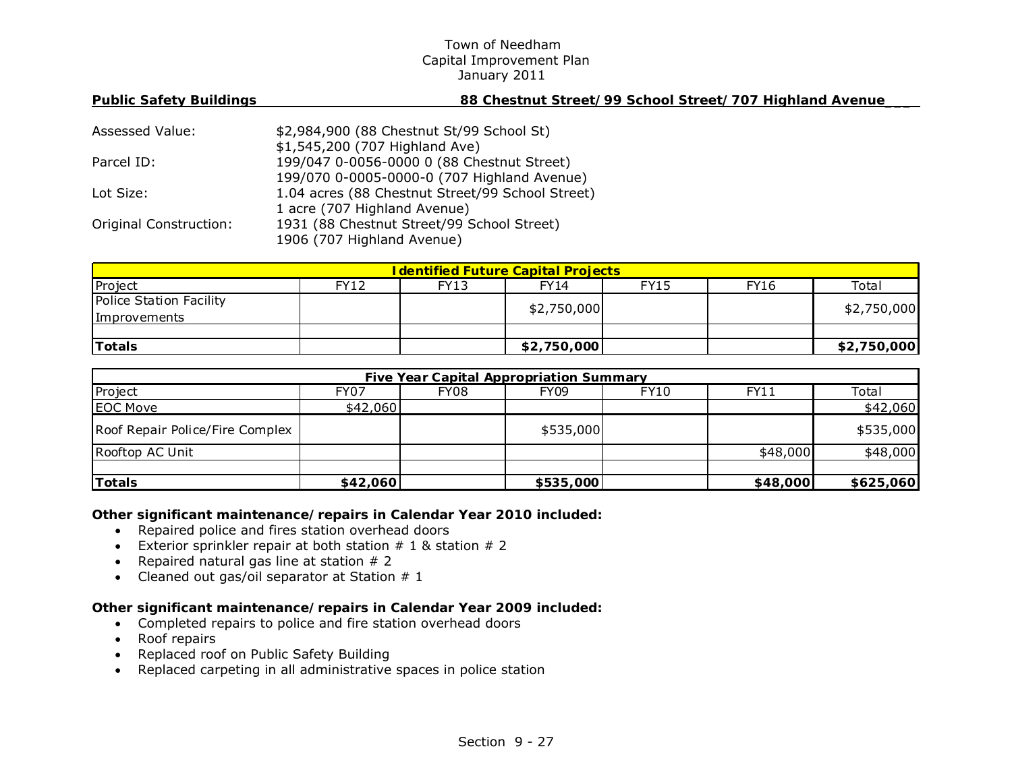| <b>Public Safety Buildings</b> | 88 Chestnut Street/99 School Street/707 Highland Avenue |
|--------------------------------|---------------------------------------------------------|
|                                |                                                         |
| Assessed Value:                | \$2,984,900 (88 Chestnut St/99 School St)               |
|                                | \$1,545,200 (707 Highland Ave)                          |
| Parcel ID:                     | 199/047 0-0056-0000 0 (88 Chestnut Street)              |
|                                | 199/070 0-0005-0000-0 (707 Highland Avenue)             |
| Lot Size:                      | 1.04 acres (88 Chestnut Street/99 School Street)        |
|                                | 1 acre (707 Highland Avenue)                            |
| <b>Original Construction:</b>  | 1931 (88 Chestnut Street/99 School Street)              |
|                                | 1906 (707 Highland Avenue)                              |
|                                |                                                         |

| <u><b>I dentified Future Capital Projects</b></u> |      |             |             |             |      |             |  |
|---------------------------------------------------|------|-------------|-------------|-------------|------|-------------|--|
| Project                                           | FY12 | <b>FY13</b> | FY14        | <b>FY15</b> | FY16 | Total       |  |
| Police Station Facility                           |      |             | \$2,750,000 |             |      | \$2,750,000 |  |
| Improvements                                      |      |             |             |             |      |             |  |
|                                                   |      |             |             |             |      |             |  |
| <b>Totals</b>                                     |      |             | \$2,750,000 |             |      | \$2,750,000 |  |

| Five Year Capital Appropriation Summary |             |      |           |      |             |           |  |
|-----------------------------------------|-------------|------|-----------|------|-------------|-----------|--|
| Project                                 | <b>FY07</b> | FY08 | FY09      | FY10 | <b>FY11</b> | Total     |  |
| <b>EOC Move</b>                         | \$42,060    |      |           |      |             | \$42,060  |  |
| Roof Repair Police/Fire Complex         |             |      | \$535,000 |      |             | \$535,000 |  |
| Rooftop AC Unit                         |             |      |           |      | \$48,000    | \$48,000  |  |
|                                         |             |      |           |      |             |           |  |
| Totals                                  | \$42,060    |      | \$535,000 |      | \$48,000    | \$625,060 |  |

*Other significant maintenance/repairs in Calendar Year 2010 included:* 

- Repaired police and fires station overhead doors
- Exterior sprinkler repair at both station  $# 1$  & station  $# 2$
- Repaired natural gas line at station  $# 2$
- Cleaned out gas/oil separator at Station  $#1$

- Completed repairs to police and fire station overhead doors
- Roof repairs
- Replaced roof on Public Safety Building
- Replaced carpeting in all administrative spaces in police station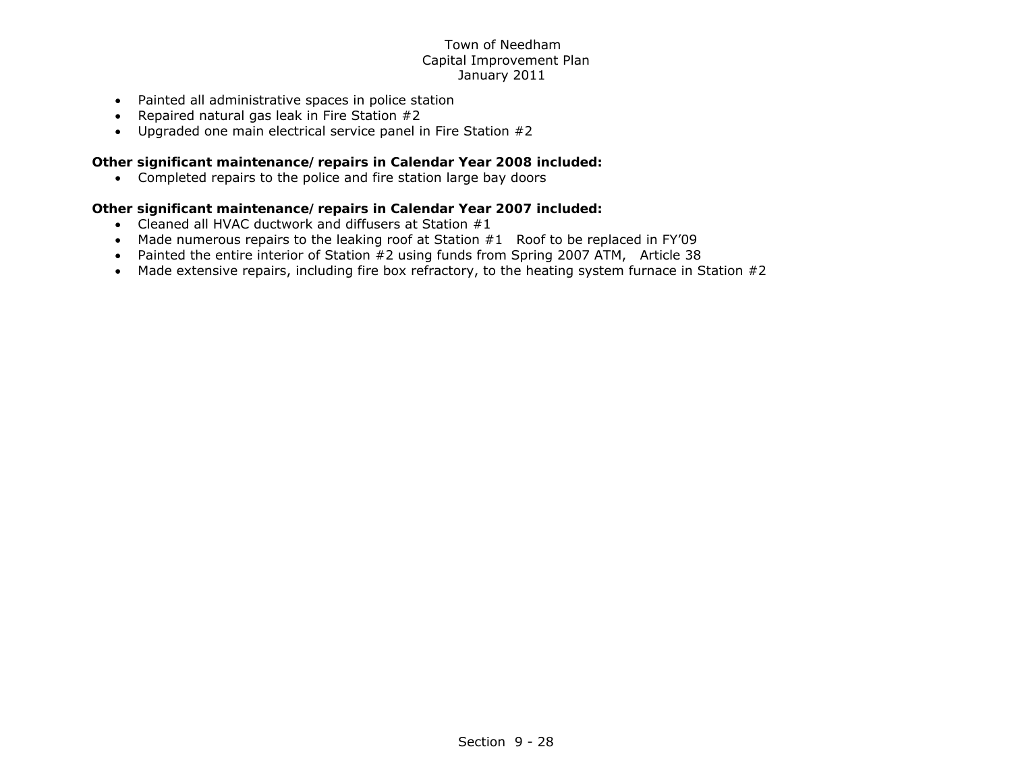- Painted all administrative spaces in police station
- Repaired natural gas leak in Fire Station  $#2$
- Upgraded one main electrical service panel in Fire Station #2

# *Other significant maintenance/repairs in Calendar Year 2008 included:*

Completed repairs to the police and fire station large bay doors

- Cleaned all HVAC ductwork and diffusers at Station #1
- Made numerous repairs to the leaking roof at Station #1 Roof to be replaced in FY'09
- Painted the entire interior of Station #2 using funds from Spring 2007 ATM, Article 38
- Made extensive repairs, including fire box refractory, to the heating system furnace in Station #2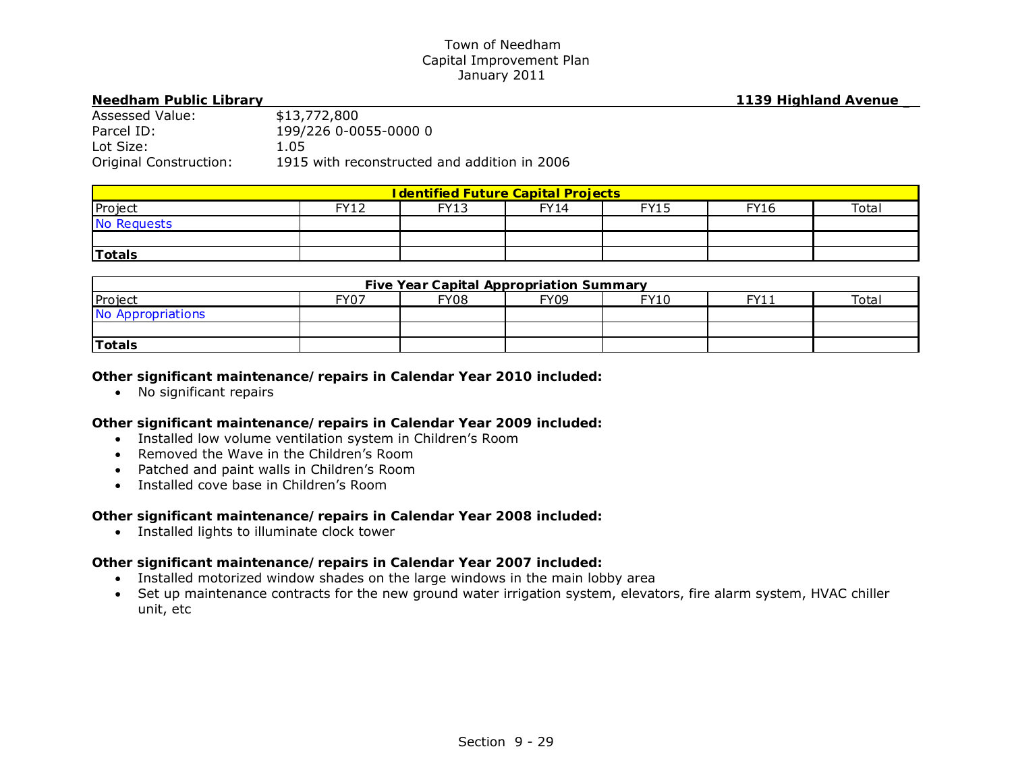**Needham Public Library 1139 Highland Avenue \_**

| Assessed Value:        | \$13,772,800                                 |
|------------------------|----------------------------------------------|
| Parcel ID:             | 199/226 0-0055-0000 0                        |
| Lot Size:              | 1.05                                         |
| Original Construction: | 1915 with reconstructed and addition in 2006 |

| <b>I dentified Future Capital Projects</b> |            |             |             |             |             |       |  |
|--------------------------------------------|------------|-------------|-------------|-------------|-------------|-------|--|
| Project                                    | FV12<br>ᅩᄼ | <b>FY13</b> | <b>FY14</b> | <b>FY15</b> | <b>FY16</b> | Total |  |
| No Requests                                |            |             |             |             |             |       |  |
|                                            |            |             |             |             |             |       |  |
| <b>Totals</b>                              |            |             |             |             |             |       |  |

| Five Year Capital Appropriation Summary |      |             |             |             |     |       |  |
|-----------------------------------------|------|-------------|-------------|-------------|-----|-------|--|
| Project                                 | FY07 | <b>FY08</b> | <b>FY09</b> | <b>FY10</b> | FY1 | Total |  |
| No Appropriations                       |      |             |             |             |     |       |  |
|                                         |      |             |             |             |     |       |  |
| <b>Totals</b>                           |      |             |             |             |     |       |  |

# *Other significant maintenance/repairs in Calendar Year 2010 included:*

• No significant repairs

# *Other significant maintenance/repairs in Calendar Year 2009 included:*

- Installed low volume ventilation system in Children's Room
- Removed the Wave in the Children's Room
- Patched and paint walls in Children's Room
- Installed cove base in Children's Room

# *Other significant maintenance/repairs in Calendar Year 2008 included:*

• Installed lights to illuminate clock tower

- Installed motorized window shades on the large windows in the main lobby area
- Set up maintenance contracts for the new ground water irrigation system, elevators, fire alarm system, HVAC chiller unit, etc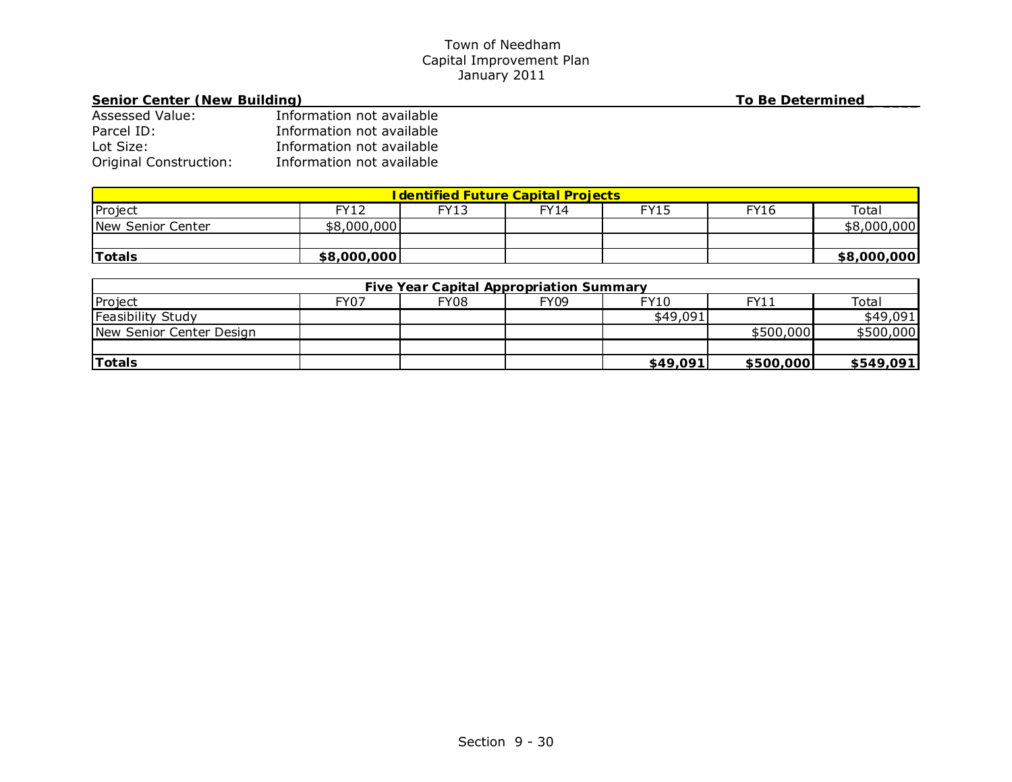# **Senior Center (New Building) To Be Determined \_ \_\_\_\_**

| <b>Assessed Value:</b>        | Information not available |
|-------------------------------|---------------------------|
| Parcel ID:                    | Information not available |
| Lot Size:                     | Information not available |
| <b>Original Construction:</b> | Information not available |

| <b>I dentified Future Capital Projects</b> |             |      |      |      |             |             |  |
|--------------------------------------------|-------------|------|------|------|-------------|-------------|--|
| Project                                    | FY12        | FY13 | FY14 | FY15 | <b>FY16</b> | Total       |  |
| New Senior Center                          | \$8,000,000 |      |      |      |             | \$8,000,000 |  |
|                                            |             |      |      |      |             |             |  |
| <b>Totals</b>                              | \$8,000,000 |      |      |      |             | \$8,000,000 |  |

| <b>Five Year Capital Appropriation Summary</b> |      |      |      |             |           |           |  |
|------------------------------------------------|------|------|------|-------------|-----------|-----------|--|
| Project                                        | FY07 | FY08 | FY09 | <b>FY10</b> | FY11      | Total     |  |
| Feasibility Study                              |      |      |      | \$49,091    |           | \$49,091  |  |
| New Senior Center Design                       |      |      |      |             | \$500,000 | \$500,000 |  |
|                                                |      |      |      |             |           |           |  |
| Totals                                         |      |      |      | \$49,091    | \$500,000 | \$549,091 |  |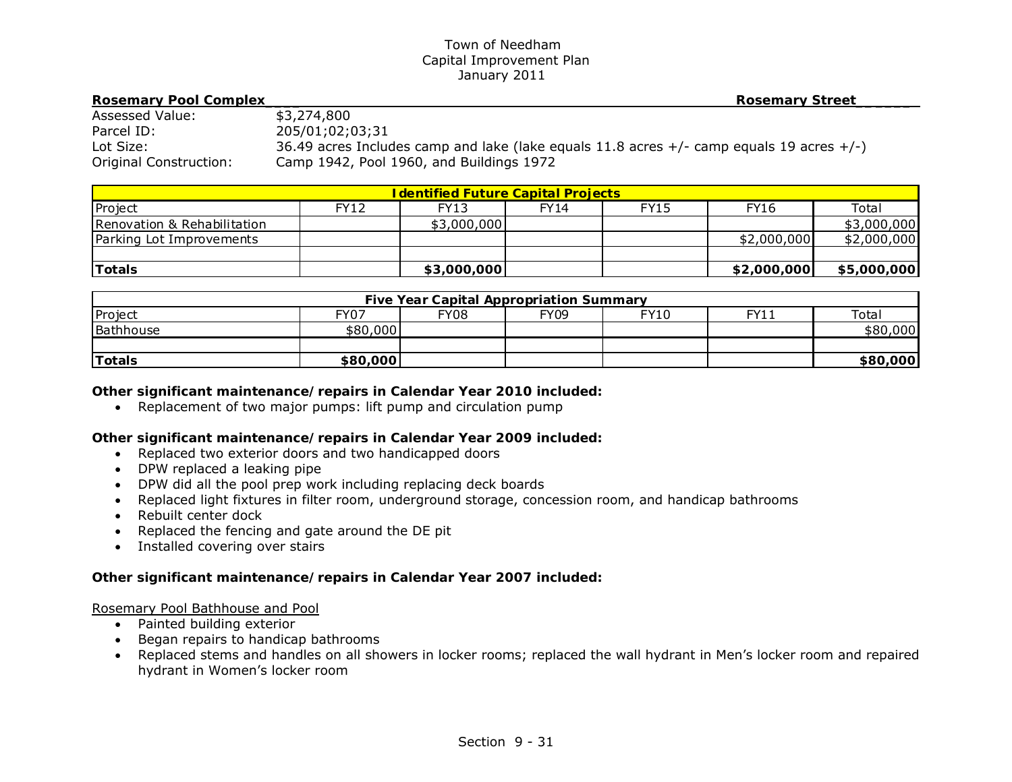| <b>Rosemary Pool Complex</b> | <b>Rosemary Street</b>                                                                        |
|------------------------------|-----------------------------------------------------------------------------------------------|
| Assessed Value:              | \$3,274,800                                                                                   |
| Parcel ID:                   | 205/01;02;03;31                                                                               |
| Lot Size:                    | 36.49 acres Includes camp and lake (lake equals 11.8 acres $+/-$ camp equals 19 acres $+/-$ ) |
| Original Construction:       | Camp 1942, Pool 1960, and Buildings 1972                                                      |

| <b>I dentified Future Capital Projects</b> |             |             |             |             |             |             |  |  |
|--------------------------------------------|-------------|-------------|-------------|-------------|-------------|-------------|--|--|
| Project                                    | <b>FY12</b> | FY13        | <b>FY14</b> | <b>FY15</b> | <b>FY16</b> | Total       |  |  |
| Renovation & Rehabilitation                |             | \$3,000,000 |             |             |             | \$3,000,000 |  |  |
| Parking Lot Improvements                   |             |             |             |             | \$2,000,000 | \$2,000,000 |  |  |
|                                            |             |             |             |             |             |             |  |  |
| <b>Totals</b>                              |             | \$3,000,000 |             |             | \$2,000,000 | \$5,000,000 |  |  |

| <b>Five Year Capital Appropriation Summary</b> |          |             |      |      |      |          |  |
|------------------------------------------------|----------|-------------|------|------|------|----------|--|
| Project                                        | FY07     | <b>FY08</b> | FY09 | FY10 | FY11 | Total    |  |
| Bathhouse                                      | \$80,000 |             |      |      |      | \$80,000 |  |
|                                                |          |             |      |      |      |          |  |
| Totals                                         | \$80,000 |             |      |      |      | \$80,000 |  |

## *Other significant maintenance/repairs in Calendar Year 2010 included:*

• Replacement of two major pumps: lift pump and circulation pump

# *Other significant maintenance/repairs in Calendar Year 2009 included:*

- Replaced two exterior doors and two handicapped doors
- DPW replaced a leaking pipe
- DPW did all the pool prep work including replacing deck boards
- Replaced light fixtures in filter room, underground storage, concession room, and handicap bathrooms
- Rebuilt center dock
- Replaced the fencing and gate around the DE pit
- Installed covering over stairs

# *Other significant maintenance/repairs in Calendar Year 2007 included:*

## Rosemary Pool Bathhouse and Pool

- Painted building exterior
- Began repairs to handicap bathrooms
- Replaced stems and handles on all showers in locker rooms; replaced the wall hydrant in Men's locker room and repaired hydrant in Women's locker room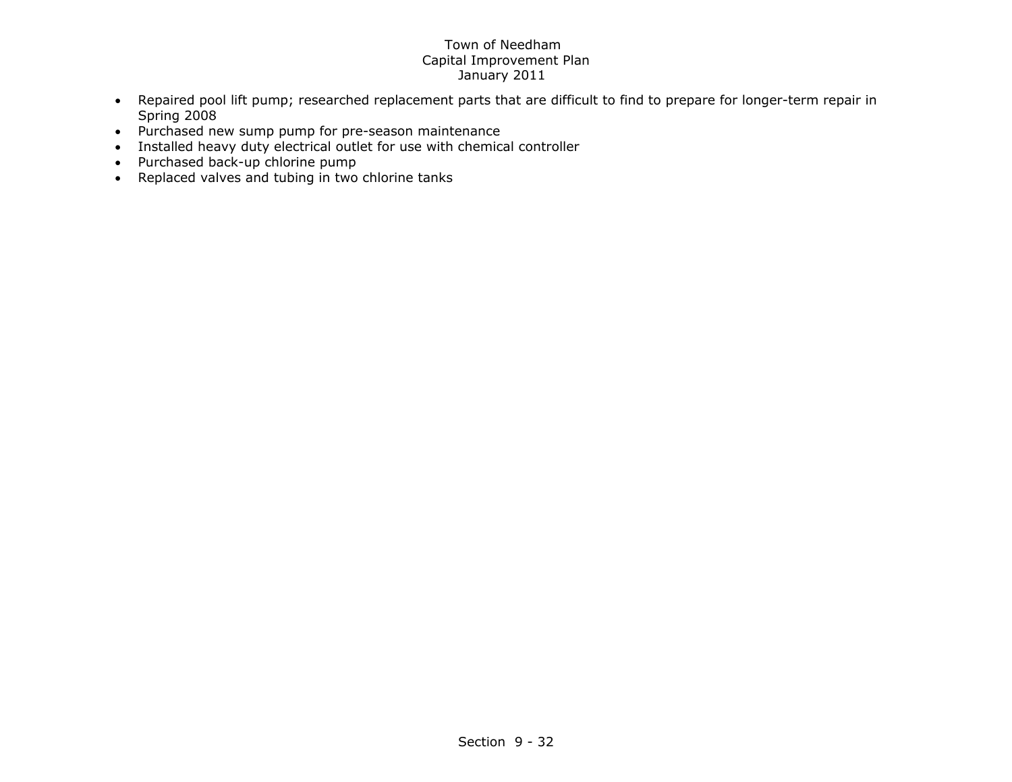- Repaired pool lift pump; researched replacement parts that are difficult to find to prepare for longer-term repair in Spring 2008
- Purchased new sump pump for pre-season maintenance
- Installed heavy duty electrical outlet for use with chemical controller
- Purchased back-up chlorine pump
- Replaced valves and tubing in two chlorine tanks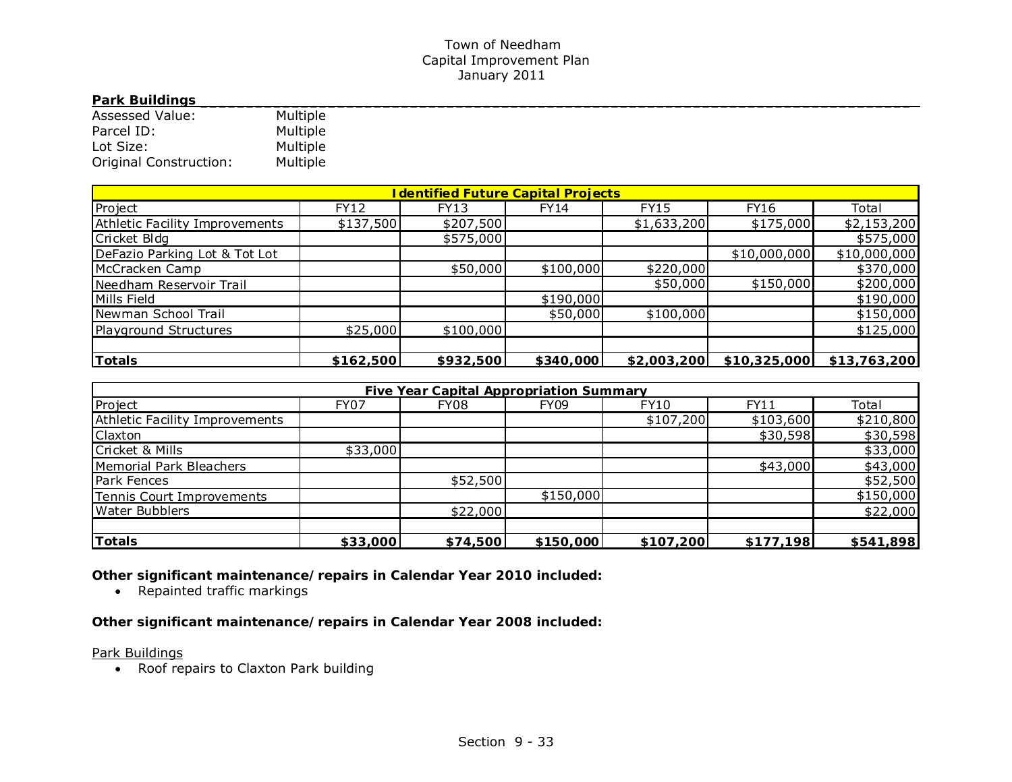## **Park Buildings**

| <b>Assessed Value:</b> | Multiple |
|------------------------|----------|
| Parcel ID:             | Multiple |
| Lot Size:              | Multiple |
| Original Construction: | Multiple |

| <b>I dentified Future Capital Projects</b> |             |             |             |             |              |              |  |  |
|--------------------------------------------|-------------|-------------|-------------|-------------|--------------|--------------|--|--|
| Project                                    | <b>FY12</b> | <b>FY13</b> | <b>FY14</b> | <b>FY15</b> | <b>FY16</b>  | Total        |  |  |
| <b>Athletic Facility Improvements</b>      | \$137,500   | \$207,500   |             | \$1,633,200 | \$175,000    | \$2,153,200  |  |  |
| Cricket Bldg                               |             | \$575,000   |             |             |              | \$575,000    |  |  |
| DeFazio Parking Lot & Tot Lot              |             |             |             |             | \$10,000,000 | \$10,000,000 |  |  |
| McCracken Camp                             |             | \$50,000    | \$100,000   | \$220,000   |              | \$370,000    |  |  |
| Needham Reservoir Trail                    |             |             |             | \$50,000    | \$150,000    | \$200,000    |  |  |
| Mills Field                                |             |             | \$190,000   |             |              | \$190,000    |  |  |
| Newman School Trail                        |             |             | \$50,000    | \$100,000   |              | \$150,000    |  |  |
| Playground Structures                      | \$25,000    | \$100,000   |             |             |              | \$125,000    |  |  |
|                                            |             |             |             |             |              |              |  |  |
| Totals                                     | \$162,500   | \$932,500   | \$340,000   | \$2,003,200 | \$10,325,000 | \$13,763,200 |  |  |

| <b>Five Year Capital Appropriation Summary</b> |             |          |             |             |           |           |  |
|------------------------------------------------|-------------|----------|-------------|-------------|-----------|-----------|--|
| Project                                        | <b>FY07</b> | FY08     | <b>FY09</b> | <b>FY10</b> | FY11      | Total     |  |
| Athletic Facility Improvements                 |             |          |             | \$107,200   | \$103,600 | \$210,800 |  |
| <b>Claxton</b>                                 |             |          |             |             | \$30,598  | \$30,598  |  |
| Cricket & Mills                                | \$33,000    |          |             |             |           | \$33,000  |  |
| Memorial Park Bleachers                        |             |          |             |             | \$43,000  | \$43,000  |  |
| Park Fences                                    |             | \$52,500 |             |             |           | \$52,500  |  |
| Tennis Court Improvements                      |             |          | \$150,000   |             |           | \$150,000 |  |
| Water Bubblers                                 |             | \$22,000 |             |             |           | \$22,000  |  |
|                                                |             |          |             |             |           |           |  |
| <b>Totals</b>                                  | \$33,000    | \$74,500 | \$150,000   | \$107,200   | \$177,198 | \$541,898 |  |

*Other significant maintenance/repairs in Calendar Year 2010 included:* 

• Repainted traffic markings

*Other significant maintenance/repairs in Calendar Year 2008 included:* 

Park Buildings

• Roof repairs to Claxton Park building